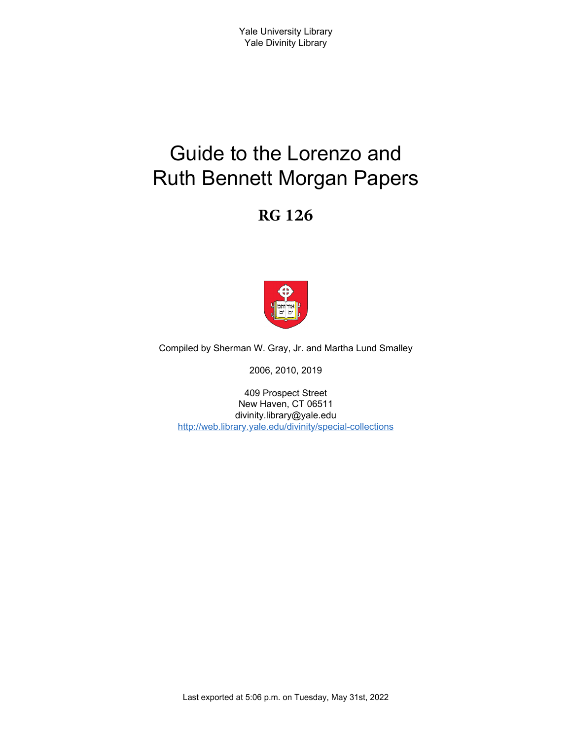# Guide to the Lorenzo and Ruth Bennett Morgan Papers

# **RG 126**



Compiled by Sherman W. Gray, Jr. and Martha Lund Smalley

2006, 2010, 2019

409 Prospect Street New Haven, CT 06511 divinity.library@yale.edu <http://web.library.yale.edu/divinity/special-collections>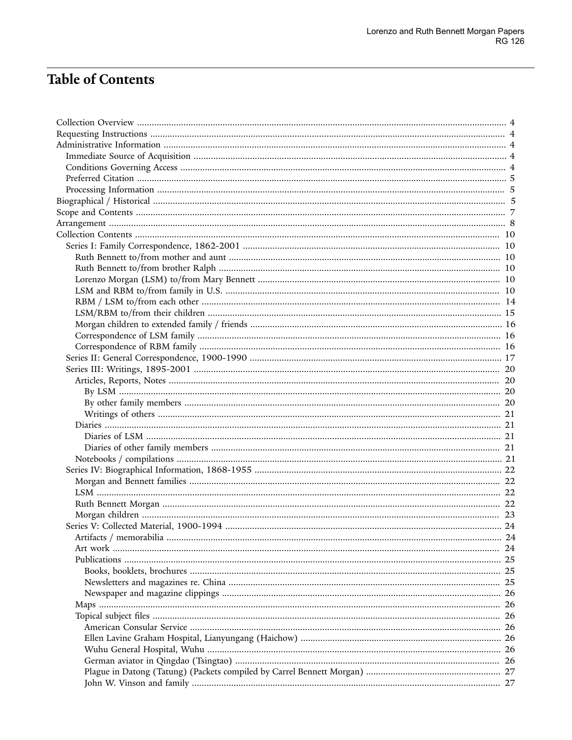# **Table of Contents**

| .24 |
|-----|
|     |
|     |
|     |
|     |
|     |
|     |
|     |
|     |
|     |
|     |
|     |
|     |
|     |
|     |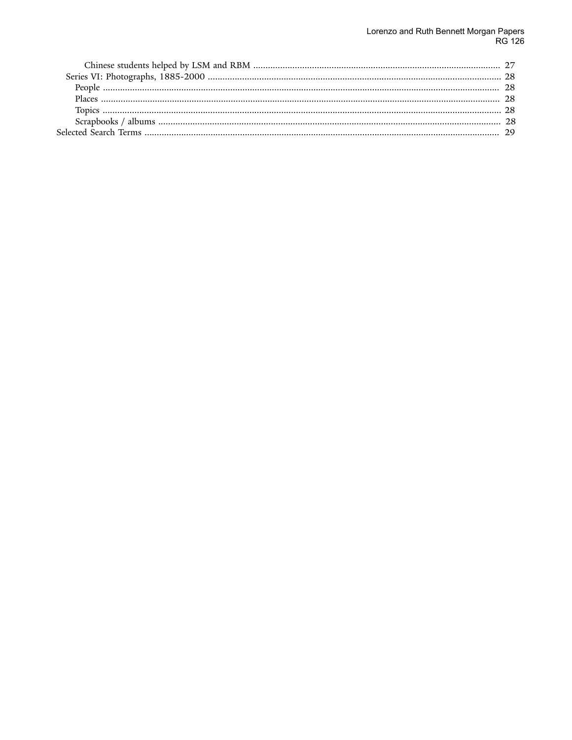# Lorenzo and Ruth Bennett Morgan Papers<br>RG 126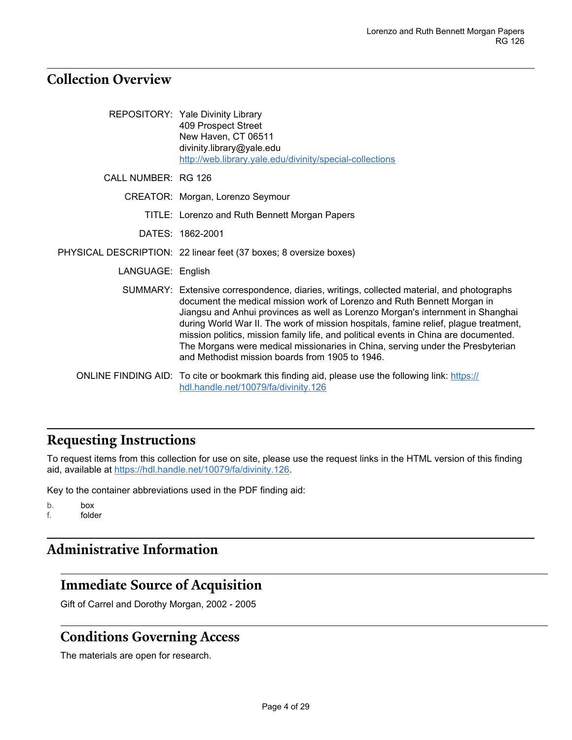### <span id="page-3-0"></span>**Collection Overview**

|                     | REPOSITORY: Yale Divinity Library<br>409 Prospect Street<br>New Haven, CT 06511<br>divinity.library@yale.edu<br>http://web.library.yale.edu/divinity/special-collections                                                                                                                                                                                                                                                                                                                                                                                                    |
|---------------------|-----------------------------------------------------------------------------------------------------------------------------------------------------------------------------------------------------------------------------------------------------------------------------------------------------------------------------------------------------------------------------------------------------------------------------------------------------------------------------------------------------------------------------------------------------------------------------|
| CALL NUMBER: RG 126 |                                                                                                                                                                                                                                                                                                                                                                                                                                                                                                                                                                             |
|                     | CREATOR: Morgan, Lorenzo Seymour                                                                                                                                                                                                                                                                                                                                                                                                                                                                                                                                            |
|                     | TITLE: Lorenzo and Ruth Bennett Morgan Papers                                                                                                                                                                                                                                                                                                                                                                                                                                                                                                                               |
|                     | DATES: 1862-2001                                                                                                                                                                                                                                                                                                                                                                                                                                                                                                                                                            |
|                     | PHYSICAL DESCRIPTION: 22 linear feet (37 boxes; 8 oversize boxes)                                                                                                                                                                                                                                                                                                                                                                                                                                                                                                           |
| LANGUAGE: English   |                                                                                                                                                                                                                                                                                                                                                                                                                                                                                                                                                                             |
|                     | SUMMARY: Extensive correspondence, diaries, writings, collected material, and photographs<br>document the medical mission work of Lorenzo and Ruth Bennett Morgan in<br>Jiangsu and Anhui provinces as well as Lorenzo Morgan's internment in Shanghai<br>during World War II. The work of mission hospitals, famine relief, plague treatment,<br>mission politics, mission family life, and political events in China are documented.<br>The Morgans were medical missionaries in China, serving under the Presbyterian<br>and Methodist mission boards from 1905 to 1946. |
|                     | ONLINE FINDING AID: To cite or bookmark this finding aid, please use the following link: https://<br>hdl.handle.net/10079/fa/divinity.126                                                                                                                                                                                                                                                                                                                                                                                                                                   |

# <span id="page-3-1"></span>**Requesting Instructions**

To request items from this collection for use on site, please use the request links in the HTML version of this finding aid, available at [https://hdl.handle.net/10079/fa/divinity.126.](https://hdl.handle.net/10079/fa/divinity.126)

Key to the container abbreviations used in the PDF finding aid:

```
b. box
f. folder
```
## <span id="page-3-2"></span>**Administrative Information**

### <span id="page-3-3"></span>**Immediate Source of Acquisition**

Gift of Carrel and Dorothy Morgan, 2002 - 2005

### <span id="page-3-4"></span>**Conditions Governing Access**

The materials are open for research.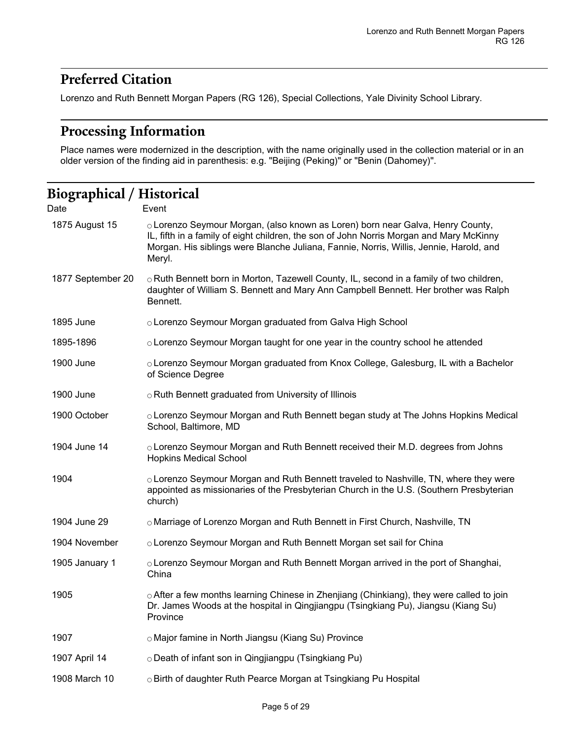## <span id="page-4-0"></span>**Preferred Citation**

Lorenzo and Ruth Bennett Morgan Papers (RG 126), Special Collections, Yale Divinity School Library.

### <span id="page-4-1"></span>**Processing Information**

Place names were modernized in the description, with the name originally used in the collection material or in an older version of the finding aid in parenthesis: e.g. "Beijing (Peking)" or "Benin (Dahomey)".

### <span id="page-4-2"></span>**Biographical / Historical** Date Event 1875 August 15 Corenzo Seymour Morgan, (also known as Loren) born near Galva, Henry County, IL, fifth in a family of eight children, the son of John Norris Morgan and Mary McKinny Morgan. His siblings were Blanche Juliana, Fannie, Norris, Willis, Jennie, Harold, and Meryl. 1877 September 20 ○ Ruth Bennett born in Morton, Tazewell County, IL, second in a family of two children, daughter of William S. Bennett and Mary Ann Campbell Bennett. Her brother was Ralph Bennett. 1895 June *OLorenzo Seymour Morgan graduated from Galva High School* 1895-1896 ○ Lorenzo Seymour Morgan taught for one year in the country school he attended 1900 June *OLOrenzo Seymour Morgan graduated from Knox College, Galesburg, IL with a Bachelor* of Science Degree 1900 June **ORuth Bennett graduated from University of Illinois** 1900 October *O***Lorenzo Seymour Morgan and Ruth Bennett began study at The Johns Hopkins Medical** School, Baltimore, MD 1904 June 14 *OLorenzo Seymour Morgan and Ruth Bennett received their M.D. degrees from Johns* Hopkins Medical School 1904  $\circ$  Lorenzo Seymour Morgan and Ruth Bennett traveled to Nashville, TN, where they were appointed as missionaries of the Presbyterian Church in the U.S. (Southern Presbyterian church) 1904 June 29 *O Marriage of Lorenzo Morgan and Ruth Bennett in First Church, Nashville, TN* 1904 November ○ Lorenzo Seymour Morgan and Ruth Bennett Morgan set sail for China 1905 January 1 ○ Lorenzo Seymour Morgan and Ruth Bennett Morgan arrived in the port of Shanghai, China 1905 **• The State After a few months learning Chinese in Zhenjiang (Chinkiang), they were called to join** Dr. James Woods at the hospital in Qingjiangpu (Tsingkiang Pu), Jiangsu (Kiang Su) Province 1907 ○ Major famine in North Jiangsu (Kiang Su) Province 1907 April 14 *O Death of infant son in Qingjiangpu* (Tsingkiang Pu) 1908 March 10  $\Box$   $\Box$  Birth of daughter Ruth Pearce Morgan at Tsingkiang Pu Hospital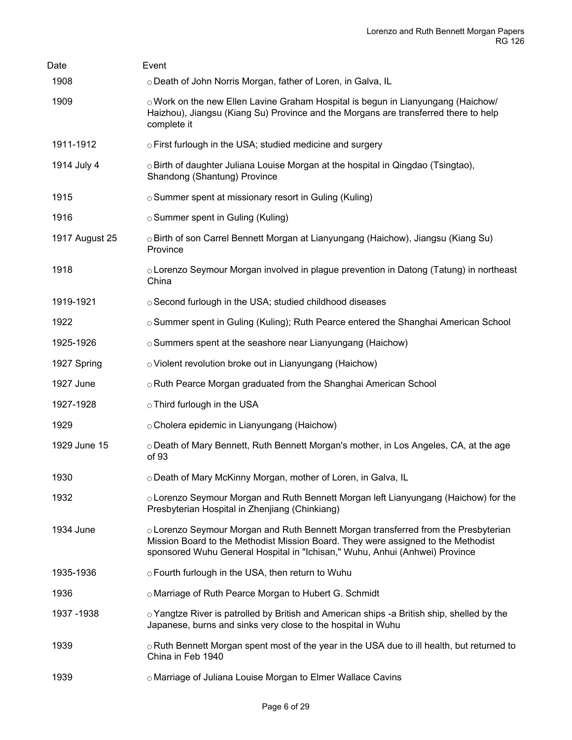| Date           | Event                                                                                                                                                                                                                                                  |
|----------------|--------------------------------------------------------------------------------------------------------------------------------------------------------------------------------------------------------------------------------------------------------|
| 1908           | o Death of John Norris Morgan, father of Loren, in Galva, IL                                                                                                                                                                                           |
| 1909           | $\circ$ Work on the new Ellen Lavine Graham Hospital is begun in Lianyungang (Haichow/<br>Haizhou), Jiangsu (Kiang Su) Province and the Morgans are transferred there to help<br>complete it                                                           |
| 1911-1912      | $\circ$ First furlough in the USA; studied medicine and surgery                                                                                                                                                                                        |
| 1914 July 4    | $\circ$ Birth of daughter Juliana Louise Morgan at the hospital in Qingdao (Tsingtao),<br>Shandong (Shantung) Province                                                                                                                                 |
| 1915           | ○ Summer spent at missionary resort in Guling (Kuling)                                                                                                                                                                                                 |
| 1916           | ○ Summer spent in Guling (Kuling)                                                                                                                                                                                                                      |
| 1917 August 25 | ○ Birth of son Carrel Bennett Morgan at Lianyungang (Haichow), Jiangsu (Kiang Su)<br>Province                                                                                                                                                          |
| 1918           | $\circ$ Lorenzo Seymour Morgan involved in plague prevention in Datong (Tatung) in northeast<br>China                                                                                                                                                  |
| 1919-1921      | o Second furlough in the USA; studied childhood diseases                                                                                                                                                                                               |
| 1922           | ○ Summer spent in Guling (Kuling); Ruth Pearce entered the Shanghai American School                                                                                                                                                                    |
| 1925-1926      | ○ Summers spent at the seashore near Lianyungang (Haichow)                                                                                                                                                                                             |
| 1927 Spring    | o Violent revolution broke out in Lianyungang (Haichow)                                                                                                                                                                                                |
| 1927 June      | o Ruth Pearce Morgan graduated from the Shanghai American School                                                                                                                                                                                       |
| 1927-1928      | ○ Third furlough in the USA                                                                                                                                                                                                                            |
| 1929           | ○ Cholera epidemic in Lianyungang (Haichow)                                                                                                                                                                                                            |
| 1929 June 15   | ○ Death of Mary Bennett, Ruth Bennett Morgan's mother, in Los Angeles, CA, at the age<br>of 93                                                                                                                                                         |
| 1930           | o Death of Mary McKinny Morgan, mother of Loren, in Galva, IL                                                                                                                                                                                          |
| 1932           | ○ Lorenzo Seymour Morgan and Ruth Bennett Morgan left Lianyungang (Haichow) for the<br>Presbyterian Hospital in Zhenjiang (Chinkiang)                                                                                                                  |
| 1934 June      | ○ Lorenzo Seymour Morgan and Ruth Bennett Morgan transferred from the Presbyterian<br>Mission Board to the Methodist Mission Board. They were assigned to the Methodist<br>sponsored Wuhu General Hospital in "Ichisan," Wuhu, Anhui (Anhwei) Province |
| 1935-1936      | ○ Fourth furlough in the USA, then return to Wuhu                                                                                                                                                                                                      |
| 1936           | o Marriage of Ruth Pearce Morgan to Hubert G. Schmidt                                                                                                                                                                                                  |
| 1937 - 1938    | $\circ$ Yangtze River is patrolled by British and American ships -a British ship, shelled by the<br>Japanese, burns and sinks very close to the hospital in Wuhu                                                                                       |
| 1939           | $\circ$ Ruth Bennett Morgan spent most of the year in the USA due to ill health, but returned to<br>China in Feb 1940                                                                                                                                  |
| 1939           | o Marriage of Juliana Louise Morgan to Elmer Wallace Cavins                                                                                                                                                                                            |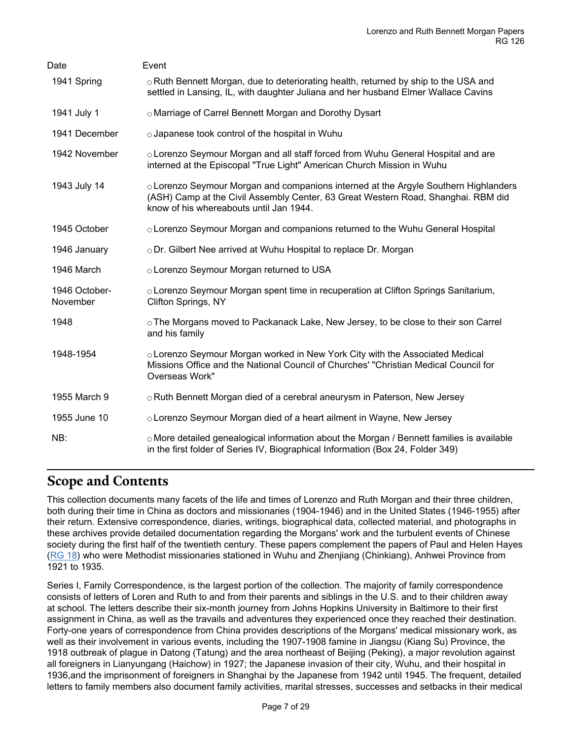| Date                      | Event                                                                                                                                                                                                               |
|---------------------------|---------------------------------------------------------------------------------------------------------------------------------------------------------------------------------------------------------------------|
| 1941 Spring               | ○ Ruth Bennett Morgan, due to deteriorating health, returned by ship to the USA and<br>settled in Lansing, IL, with daughter Juliana and her husband Elmer Wallace Cavins                                           |
| 1941 July 1               | o Marriage of Carrel Bennett Morgan and Dorothy Dysart                                                                                                                                                              |
| 1941 December             | o Japanese took control of the hospital in Wuhu                                                                                                                                                                     |
| 1942 November             | ○ Lorenzo Seymour Morgan and all staff forced from Wuhu General Hospital and are<br>interned at the Episcopal "True Light" American Church Mission in Wuhu                                                          |
| 1943 July 14              | ○ Lorenzo Seymour Morgan and companions interned at the Argyle Southern Highlanders<br>(ASH) Camp at the Civil Assembly Center, 63 Great Western Road, Shanghai. RBM did<br>know of his whereabouts until Jan 1944. |
| 1945 October              | ○ Lorenzo Seymour Morgan and companions returned to the Wuhu General Hospital                                                                                                                                       |
| 1946 January              | ○ Dr. Gilbert Nee arrived at Wuhu Hospital to replace Dr. Morgan                                                                                                                                                    |
| 1946 March                | o Lorenzo Seymour Morgan returned to USA                                                                                                                                                                            |
| 1946 October-<br>November | ○ Lorenzo Seymour Morgan spent time in recuperation at Clifton Springs Sanitarium,<br>Clifton Springs, NY                                                                                                           |
| 1948                      | ○ The Morgans moved to Packanack Lake, New Jersey, to be close to their son Carrel<br>and his family                                                                                                                |
| 1948-1954                 | ○ Lorenzo Seymour Morgan worked in New York City with the Associated Medical<br>Missions Office and the National Council of Churches' "Christian Medical Council for<br>Overseas Work"                              |
| 1955 March 9              | o Ruth Bennett Morgan died of a cerebral aneurysm in Paterson, New Jersey                                                                                                                                           |
| 1955 June 10              | o Lorenzo Seymour Morgan died of a heart ailment in Wayne, New Jersey                                                                                                                                               |
| NB:                       | ○ More detailed genealogical information about the Morgan / Bennett families is available<br>in the first folder of Series IV, Biographical Information (Box 24, Folder 349)                                        |

### <span id="page-6-0"></span>**Scope and Contents**

This collection documents many facets of the life and times of Lorenzo and Ruth Morgan and their three children, both during their time in China as doctors and missionaries (1904-1946) and in the United States (1946-1955) after their return. Extensive correspondence, diaries, writings, biographical data, collected material, and photographs in these archives provide detailed documentation regarding the Morgans' work and the turbulent events of Chinese society during the first half of the twentieth century. These papers complement the papers of Paul and Helen Hayes ([RG 18\)](https://archives.yale.edu/repositories/4/resources/138) who were Methodist missionaries stationed in Wuhu and Zhenjiang (Chinkiang), Anhwei Province from 1921 to 1935.

Series I, Family Correspondence, is the largest portion of the collection. The majority of family correspondence consists of letters of Loren and Ruth to and from their parents and siblings in the U.S. and to their children away at school. The letters describe their six-month journey from Johns Hopkins University in Baltimore to their first assignment in China, as well as the travails and adventures they experienced once they reached their destination. Forty-one years of correspondence from China provides descriptions of the Morgans' medical missionary work, as well as their involvement in various events, including the 1907-1908 famine in Jiangsu (Kiang Su) Province, the 1918 outbreak of plague in Datong (Tatung) and the area northeast of Beijing (Peking), a major revolution against all foreigners in Lianyungang (Haichow) in 1927; the Japanese invasion of their city, Wuhu, and their hospital in 1936,and the imprisonment of foreigners in Shanghai by the Japanese from 1942 until 1945. The frequent, detailed letters to family members also document family activities, marital stresses, successes and setbacks in their medical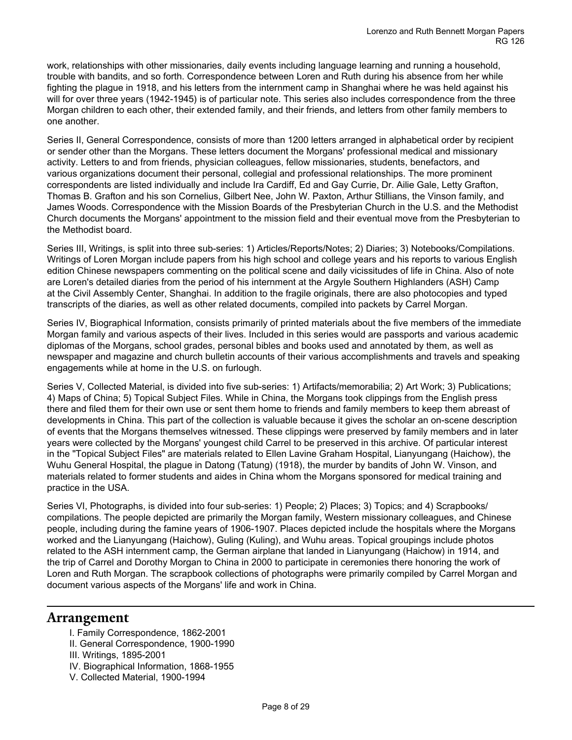work, relationships with other missionaries, daily events including language learning and running a household, trouble with bandits, and so forth. Correspondence between Loren and Ruth during his absence from her while fighting the plague in 1918, and his letters from the internment camp in Shanghai where he was held against his will for over three years (1942-1945) is of particular note. This series also includes correspondence from the three Morgan children to each other, their extended family, and their friends, and letters from other family members to one another.

Series II, General Correspondence, consists of more than 1200 letters arranged in alphabetical order by recipient or sender other than the Morgans. These letters document the Morgans' professional medical and missionary activity. Letters to and from friends, physician colleagues, fellow missionaries, students, benefactors, and various organizations document their personal, collegial and professional relationships. The more prominent correspondents are listed individually and include Ira Cardiff, Ed and Gay Currie, Dr. Ailie Gale, Letty Grafton, Thomas B. Grafton and his son Cornelius, Gilbert Nee, John W. Paxton, Arthur Stillians, the Vinson family, and James Woods. Correspondence with the Mission Boards of the Presbyterian Church in the U.S. and the Methodist Church documents the Morgans' appointment to the mission field and their eventual move from the Presbyterian to the Methodist board.

Series III, Writings, is split into three sub-series: 1) Articles/Reports/Notes; 2) Diaries; 3) Notebooks/Compilations. Writings of Loren Morgan include papers from his high school and college years and his reports to various English edition Chinese newspapers commenting on the political scene and daily vicissitudes of life in China. Also of note are Loren's detailed diaries from the period of his internment at the Argyle Southern Highlanders (ASH) Camp at the Civil Assembly Center, Shanghai. In addition to the fragile originals, there are also photocopies and typed transcripts of the diaries, as well as other related documents, compiled into packets by Carrel Morgan.

Series IV, Biographical Information, consists primarily of printed materials about the five members of the immediate Morgan family and various aspects of their lives. Included in this series would are passports and various academic diplomas of the Morgans, school grades, personal bibles and books used and annotated by them, as well as newspaper and magazine and church bulletin accounts of their various accomplishments and travels and speaking engagements while at home in the U.S. on furlough.

Series V, Collected Material, is divided into five sub-series: 1) Artifacts/memorabilia; 2) Art Work; 3) Publications; 4) Maps of China; 5) Topical Subject Files. While in China, the Morgans took clippings from the English press there and filed them for their own use or sent them home to friends and family members to keep them abreast of developments in China. This part of the collection is valuable because it gives the scholar an on-scene description of events that the Morgans themselves witnessed. These clippings were preserved by family members and in later years were collected by the Morgans' youngest child Carrel to be preserved in this archive. Of particular interest in the "Topical Subject Files" are materials related to Ellen Lavine Graham Hospital, Lianyungang (Haichow), the Wuhu General Hospital, the plague in Datong (Tatung) (1918), the murder by bandits of John W. Vinson, and materials related to former students and aides in China whom the Morgans sponsored for medical training and practice in the USA.

Series VI, Photographs, is divided into four sub-series: 1) People; 2) Places; 3) Topics; and 4) Scrapbooks/ compilations. The people depicted are primarily the Morgan family, Western missionary colleagues, and Chinese people, including during the famine years of 1906-1907. Places depicted include the hospitals where the Morgans worked and the Lianyungang (Haichow), Guling (Kuling), and Wuhu areas. Topical groupings include photos related to the ASH internment camp, the German airplane that landed in Lianyungang (Haichow) in 1914, and the trip of Carrel and Dorothy Morgan to China in 2000 to participate in ceremonies there honoring the work of Loren and Ruth Morgan. The scrapbook collections of photographs were primarily compiled by Carrel Morgan and document various aspects of the Morgans' life and work in China.

### <span id="page-7-0"></span>**Arrangement**

- I. Family Correspondence, 1862-2001
- II. General Correspondence, 1900-1990
- III. Writings, 1895-2001
- IV. Biographical Information, 1868-1955
- V. Collected Material, 1900-1994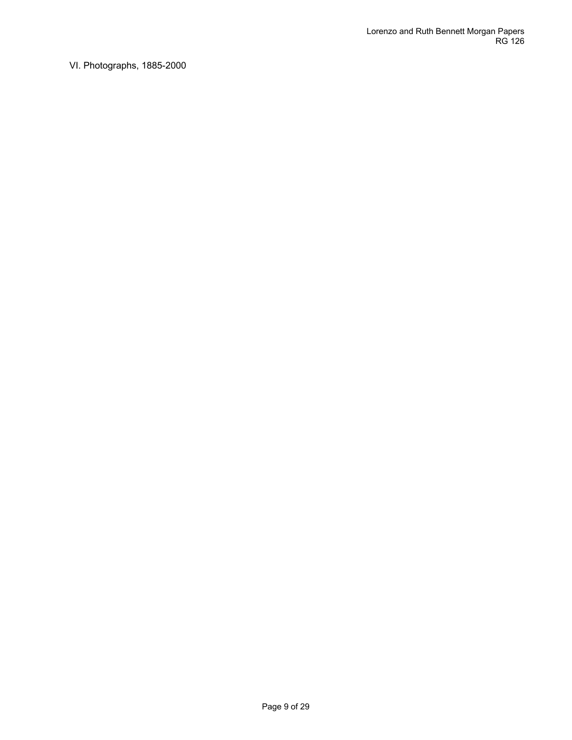VI. Photographs, 1885-2000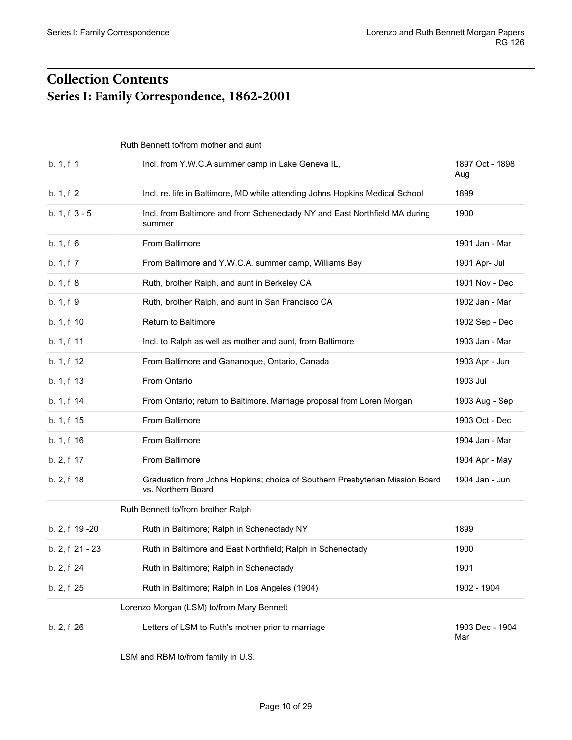# <span id="page-9-1"></span><span id="page-9-0"></span>**Collection Contents Series I: Family Correspondence, 1862-2001**

<span id="page-9-2"></span>Ruth Bennett to/from mother and aunt

| b. 1, f. 1       | Incl. from Y.W.C.A summer camp in Lake Geneva IL,                                                  | 1897 Oct - 1898<br>Aug |
|------------------|----------------------------------------------------------------------------------------------------|------------------------|
| b. 1, f. 2       | Incl. re. life in Baltimore, MD while attending Johns Hopkins Medical School                       | 1899                   |
| b. 1, f. 3 - 5   | Incl. from Baltimore and from Schenectady NY and East Northfield MA during<br>summer               | 1900                   |
| b. 1, f. 6       | From Baltimore                                                                                     | 1901 Jan - Mar         |
| b. 1, f. 7       | From Baltimore and Y.W.C.A. summer camp, Williams Bay                                              | 1901 Apr- Jul          |
| b. 1, f. 8       | Ruth, brother Ralph, and aunt in Berkeley CA                                                       | 1901 Nov - Dec         |
| b. 1, f. 9       | Ruth, brother Ralph, and aunt in San Francisco CA                                                  | 1902 Jan - Mar         |
| b. 1, f. 10      | Return to Baltimore                                                                                | 1902 Sep - Dec         |
| b. 1, f. 11      | Incl. to Ralph as well as mother and aunt, from Baltimore                                          | 1903 Jan - Mar         |
| b. 1, f. 12      | From Baltimore and Gananoque, Ontario, Canada                                                      | 1903 Apr - Jun         |
| b. 1, f. 13      | From Ontario                                                                                       | 1903 Jul               |
| b. 1, f. 14      | From Ontario; return to Baltimore. Marriage proposal from Loren Morgan                             | 1903 Aug - Sep         |
| b. 1, f. 15      | From Baltimore                                                                                     | 1903 Oct - Dec         |
| b. 1, f. 16      | From Baltimore                                                                                     | 1904 Jan - Mar         |
| b. 2, f. 17      | From Baltimore                                                                                     | 1904 Apr - May         |
| b. 2, f. 18      | Graduation from Johns Hopkins; choice of Southern Presbyterian Mission Board<br>vs. Northern Board | 1904 Jan - Jun         |
|                  | Ruth Bennett to/from brother Ralph                                                                 |                        |
| b. 2, f. 19 - 20 | Ruth in Baltimore; Ralph in Schenectady NY                                                         | 1899                   |
| b. 2, f. 21 - 23 | Ruth in Baltimore and East Northfield; Ralph in Schenectady                                        | 1900                   |
| b. 2, f. 24      | Ruth in Baltimore; Ralph in Schenectady                                                            | 1901                   |
| b. 2, f. 25      | Ruth in Baltimore; Ralph in Los Angeles (1904)                                                     | 1902 - 1904            |
|                  | Lorenzo Morgan (LSM) to/from Mary Bennett                                                          |                        |
| b. 2, f. 26      | Letters of LSM to Ruth's mother prior to marriage                                                  | 1903 Dec - 1904<br>Mar |
|                  |                                                                                                    |                        |

<span id="page-9-5"></span><span id="page-9-4"></span><span id="page-9-3"></span>LSM and RBM to/from family in U.S.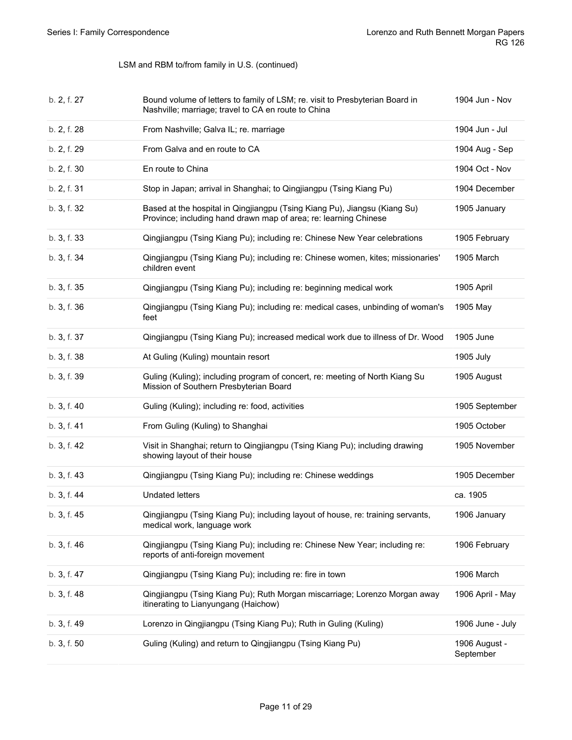| b. 2, f. 27 | Bound volume of letters to family of LSM; re. visit to Presbyterian Board in<br>Nashville; marriage; travel to CA en route to China           | 1904 Jun - Nov             |
|-------------|-----------------------------------------------------------------------------------------------------------------------------------------------|----------------------------|
| b. 2, f. 28 | From Nashville; Galva IL; re. marriage                                                                                                        | 1904 Jun - Jul             |
| b. 2, f. 29 | From Galva and en route to CA                                                                                                                 | 1904 Aug - Sep             |
| b. 2, f. 30 | En route to China                                                                                                                             | 1904 Oct - Nov             |
| b. 2, f. 31 | Stop in Japan; arrival in Shanghai; to Qingjiangpu (Tsing Kiang Pu)                                                                           | 1904 December              |
| b. 3, f. 32 | Based at the hospital in Qingjiangpu (Tsing Kiang Pu), Jiangsu (Kiang Su)<br>Province; including hand drawn map of area; re: learning Chinese | 1905 January               |
| b. 3, f. 33 | Qingjiangpu (Tsing Kiang Pu); including re: Chinese New Year celebrations                                                                     | 1905 February              |
| b. 3, f. 34 | Qingjiangpu (Tsing Kiang Pu); including re: Chinese women, kites; missionaries'<br>children event                                             | 1905 March                 |
| b. 3, f. 35 | Qingjiangpu (Tsing Kiang Pu); including re: beginning medical work                                                                            | 1905 April                 |
| b. 3, f. 36 | Qingjiangpu (Tsing Kiang Pu); including re: medical cases, unbinding of woman's<br>feet                                                       | 1905 May                   |
| b. 3, f. 37 | Qingjiangpu (Tsing Kiang Pu); increased medical work due to illness of Dr. Wood                                                               | 1905 June                  |
| b. 3, f. 38 | At Guling (Kuling) mountain resort                                                                                                            | 1905 July                  |
| b. 3, f. 39 | Guling (Kuling); including program of concert, re: meeting of North Kiang Su<br>Mission of Southern Presbyterian Board                        | 1905 August                |
| b. 3, f. 40 | Guling (Kuling); including re: food, activities                                                                                               | 1905 September             |
| b. 3, f. 41 | From Guling (Kuling) to Shanghai                                                                                                              | 1905 October               |
| b. 3, f. 42 | Visit in Shanghai; return to Qingjiangpu (Tsing Kiang Pu); including drawing<br>showing layout of their house                                 | 1905 November              |
| b. 3, f. 43 | Qingjiangpu (Tsing Kiang Pu); including re: Chinese weddings                                                                                  | 1905 December              |
| b. 3, f. 44 | <b>Undated letters</b>                                                                                                                        | ca. 1905                   |
| b. 3, f. 45 | Qingjiangpu (Tsing Kiang Pu); including layout of house, re: training servants,<br>medical work, language work                                | 1906 January               |
| b. 3, f. 46 | Qingjiangpu (Tsing Kiang Pu); including re: Chinese New Year; including re:<br>reports of anti-foreign movement                               | 1906 February              |
| b. 3, f. 47 | Qingjiangpu (Tsing Kiang Pu); including re: fire in town                                                                                      | 1906 March                 |
| b. 3, f. 48 | Qingjiangpu (Tsing Kiang Pu); Ruth Morgan miscarriage; Lorenzo Morgan away<br>itinerating to Lianyungang (Haichow)                            | 1906 April - May           |
| b. 3, f. 49 | Lorenzo in Qingjiangpu (Tsing Kiang Pu); Ruth in Guling (Kuling)                                                                              | 1906 June - July           |
| b. 3, f. 50 | Guling (Kuling) and return to Qingjiangpu (Tsing Kiang Pu)                                                                                    | 1906 August -<br>September |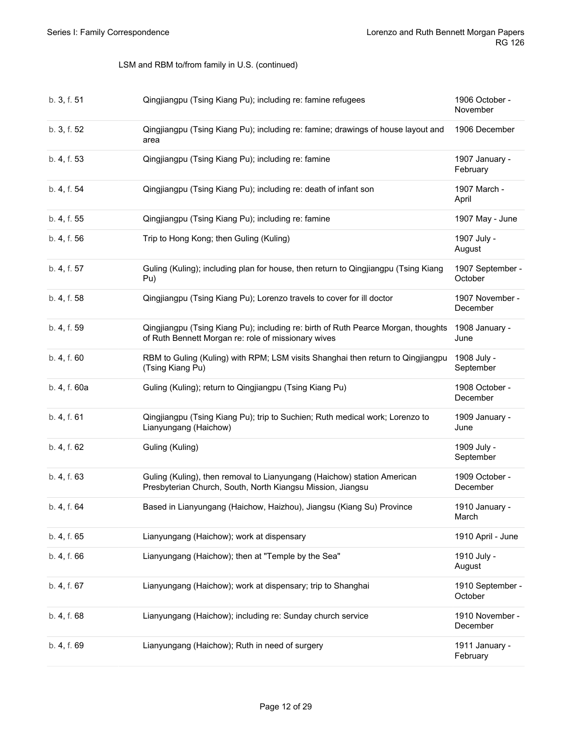| b. 3, f. 51  | Qingjiangpu (Tsing Kiang Pu); including re: famine refugees                                                                              | 1906 October -<br>November  |
|--------------|------------------------------------------------------------------------------------------------------------------------------------------|-----------------------------|
| b. 3, f. 52  | Qingjiangpu (Tsing Kiang Pu); including re: famine; drawings of house layout and<br>area                                                 | 1906 December               |
| b. 4, f. 53  | Qingjiangpu (Tsing Kiang Pu); including re: famine                                                                                       | 1907 January -<br>February  |
| b. 4, f. 54  | Qingjiangpu (Tsing Kiang Pu); including re: death of infant son                                                                          | 1907 March -<br>April       |
| b. 4, f. 55  | Qingjiangpu (Tsing Kiang Pu); including re: famine                                                                                       | 1907 May - June             |
| b. 4, f. 56  | Trip to Hong Kong; then Guling (Kuling)                                                                                                  | 1907 July -<br>August       |
| b. 4, f. 57  | Guling (Kuling); including plan for house, then return to Qingjiangpu (Tsing Kiang<br>Pu)                                                | 1907 September -<br>October |
| b. 4, f. 58  | Qingjiangpu (Tsing Kiang Pu); Lorenzo travels to cover for ill doctor                                                                    | 1907 November -<br>December |
| b. 4, f. 59  | Qingjiangpu (Tsing Kiang Pu); including re: birth of Ruth Pearce Morgan, thoughts<br>of Ruth Bennett Morgan re: role of missionary wives | 1908 January -<br>June      |
| b. 4, f. 60  | RBM to Guling (Kuling) with RPM; LSM visits Shanghai then return to Qingjiangpu<br>(Tsing Kiang Pu)                                      | 1908 July -<br>September    |
|              |                                                                                                                                          |                             |
| b. 4, f. 60a | Guling (Kuling); return to Qingjiangpu (Tsing Kiang Pu)                                                                                  | 1908 October -<br>December  |
| b. 4, f. 61  | Qingjiangpu (Tsing Kiang Pu); trip to Suchien; Ruth medical work; Lorenzo to<br>Lianyungang (Haichow)                                    | 1909 January -<br>June      |
| b. 4, f. 62  | Guling (Kuling)                                                                                                                          | 1909 July -<br>September    |
| b. 4, f. 63  | Guling (Kuling), then removal to Lianyungang (Haichow) station American<br>Presbyterian Church, South, North Kiangsu Mission, Jiangsu    | 1909 October -<br>December  |
| b. 4, f. 64  | Based in Lianyungang (Haichow, Haizhou), Jiangsu (Kiang Su) Province                                                                     | 1910 January -<br>March     |
| b. 4, f. 65  | Lianyungang (Haichow); work at dispensary                                                                                                | 1910 April - June           |
| b. 4, f. 66  | Lianyungang (Haichow); then at "Temple by the Sea"                                                                                       | 1910 July -<br>August       |
| b. 4, f. 67  | Lianyungang (Haichow); work at dispensary; trip to Shanghai                                                                              | 1910 September -<br>October |
| b. 4, f. 68  | Lianyungang (Haichow); including re: Sunday church service                                                                               | 1910 November -<br>December |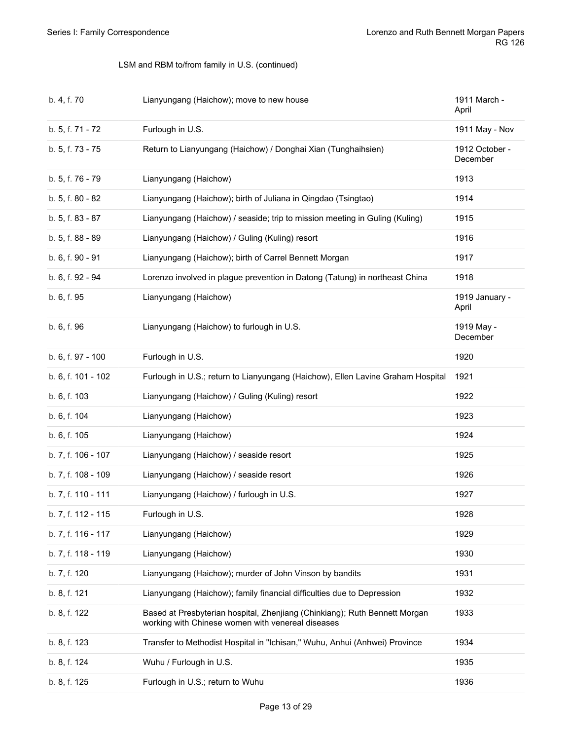| b. 4, f. 70        | Lianyungang (Haichow); move to new house                                                                                        | 1911 March -<br>April      |
|--------------------|---------------------------------------------------------------------------------------------------------------------------------|----------------------------|
| b. 5, f. 71 - 72   | Furlough in U.S.                                                                                                                | 1911 May - Nov             |
| b. 5, f. 73 - 75   | Return to Lianyungang (Haichow) / Donghai Xian (Tunghaihsien)                                                                   | 1912 October -<br>December |
| b. 5, f. 76 - 79   | Lianyungang (Haichow)                                                                                                           | 1913                       |
| b. 5, f. 80 - 82   | Lianyungang (Haichow); birth of Juliana in Qingdao (Tsingtao)                                                                   | 1914                       |
| b. 5, f. 83 - 87   | Lianyungang (Haichow) / seaside; trip to mission meeting in Guling (Kuling)                                                     | 1915                       |
| b. 5, f. 88 - 89   | Lianyungang (Haichow) / Guling (Kuling) resort                                                                                  | 1916                       |
| b. 6, f. 90 - 91   | Lianyungang (Haichow); birth of Carrel Bennett Morgan                                                                           | 1917                       |
| b. 6, f. 92 - 94   | Lorenzo involved in plague prevention in Datong (Tatung) in northeast China                                                     | 1918                       |
| b. 6, f. 95        | Lianyungang (Haichow)                                                                                                           | 1919 January -<br>April    |
| b. 6, f. 96        | Lianyungang (Haichow) to furlough in U.S.                                                                                       | 1919 May -<br>December     |
| b. 6, f. 97 - 100  | Furlough in U.S.                                                                                                                | 1920                       |
| b. 6, f. 101 - 102 | Furlough in U.S.; return to Lianyungang (Haichow), Ellen Lavine Graham Hospital                                                 | 1921                       |
| b. 6, f. 103       | Lianyungang (Haichow) / Guling (Kuling) resort                                                                                  | 1922                       |
| b. 6, f. 104       | Lianyungang (Haichow)                                                                                                           | 1923                       |
| b. 6, f. 105       | Lianyungang (Haichow)                                                                                                           | 1924                       |
| b. 7, f. 106 - 107 | Lianyungang (Haichow) / seaside resort                                                                                          | 1925                       |
| b. 7, f. 108 - 109 | Lianyungang (Haichow) / seaside resort                                                                                          | 1926                       |
| b. 7, f. 110 - 111 | Lianyungang (Haichow) / furlough in U.S.                                                                                        | 1927                       |
| b. 7, f. 112 - 115 | Furlough in U.S.                                                                                                                | 1928                       |
| b. 7, f. 116 - 117 | Lianyungang (Haichow)                                                                                                           | 1929                       |
| b. 7, f. 118 - 119 | Lianyungang (Haichow)                                                                                                           | 1930                       |
| b. 7, f. 120       | Lianyungang (Haichow); murder of John Vinson by bandits                                                                         | 1931                       |
| b. 8, f. 121       | Lianyungang (Haichow); family financial difficulties due to Depression                                                          | 1932                       |
| b. 8, f. 122       | Based at Presbyterian hospital, Zhenjiang (Chinkiang); Ruth Bennett Morgan<br>working with Chinese women with venereal diseases | 1933                       |
| b. 8, f. 123       | Transfer to Methodist Hospital in "Ichisan," Wuhu, Anhui (Anhwei) Province                                                      | 1934                       |
| b. 8, f. 124       | Wuhu / Furlough in U.S.                                                                                                         | 1935                       |
| b. 8, f. 125       | Furlough in U.S.; return to Wuhu                                                                                                | 1936                       |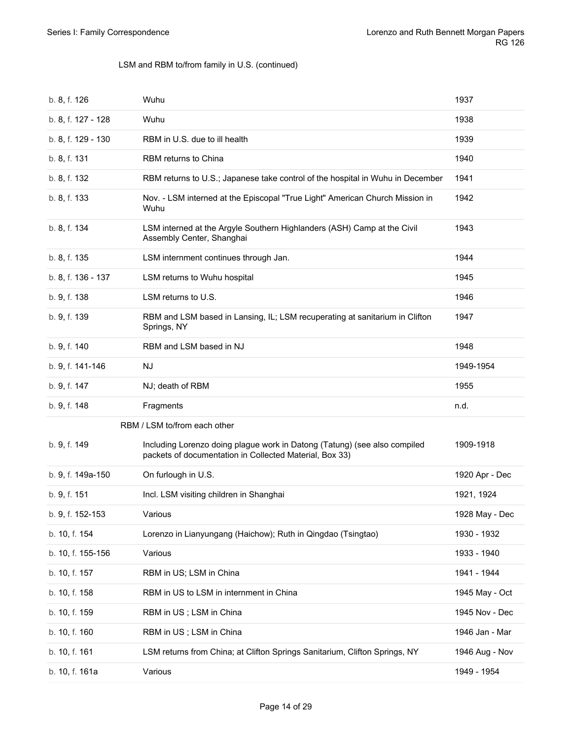<span id="page-13-0"></span>

| b. 8, f. 126       | Wuhu                                                                                                                                 | 1937           |
|--------------------|--------------------------------------------------------------------------------------------------------------------------------------|----------------|
| b. 8, f. 127 - 128 | Wuhu                                                                                                                                 | 1938           |
| b. 8, f. 129 - 130 | RBM in U.S. due to ill health                                                                                                        | 1939           |
| b. 8, f. 131       | RBM returns to China                                                                                                                 | 1940           |
| b. 8, f. 132       | RBM returns to U.S.; Japanese take control of the hospital in Wuhu in December                                                       | 1941           |
| b. 8, f. 133       | Nov. - LSM interned at the Episcopal "True Light" American Church Mission in<br>Wuhu                                                 | 1942           |
| b. 8, f. 134       | LSM interned at the Argyle Southern Highlanders (ASH) Camp at the Civil<br>Assembly Center, Shanghai                                 | 1943           |
| b. 8, f. 135       | LSM internment continues through Jan.                                                                                                | 1944           |
| b. 8, f. 136 - 137 | LSM returns to Wuhu hospital                                                                                                         | 1945           |
| b. 9, f. 138       | LSM returns to U.S.                                                                                                                  | 1946           |
| b. 9, f. 139       | RBM and LSM based in Lansing, IL; LSM recuperating at sanitarium in Clifton<br>Springs, NY                                           | 1947           |
| b. 9, f. 140       | RBM and LSM based in NJ                                                                                                              | 1948           |
| b. 9, f. 141-146   | NJ.                                                                                                                                  | 1949-1954      |
| b. 9, f. 147       | NJ; death of RBM                                                                                                                     | 1955           |
| b. 9, f. 148       | Fragments                                                                                                                            | n.d.           |
|                    | RBM / LSM to/from each other                                                                                                         |                |
| b. 9, f. 149       | Including Lorenzo doing plague work in Datong (Tatung) (see also compiled<br>packets of documentation in Collected Material, Box 33) | 1909-1918      |
| b. 9, f. 149a-150  | On furlough in U.S.                                                                                                                  | 1920 Apr - Dec |
| b. 9, f. 151       | Incl. LSM visiting children in Shanghai                                                                                              | 1921, 1924     |
| b. 9, f. 152-153   | Various                                                                                                                              | 1928 May - Dec |
| b. 10, f. 154      | Lorenzo in Lianyungang (Haichow); Ruth in Qingdao (Tsingtao)                                                                         | 1930 - 1932    |
| b. 10, f. 155-156  | Various                                                                                                                              | 1933 - 1940    |
| b. 10, f. 157      | RBM in US; LSM in China                                                                                                              | 1941 - 1944    |
| b. 10, f. 158      | RBM in US to LSM in internment in China                                                                                              | 1945 May - Oct |
| b. 10, f. 159      | RBM in US; LSM in China                                                                                                              | 1945 Nov - Dec |
| b. 10, f. 160      | RBM in US; LSM in China                                                                                                              | 1946 Jan - Mar |
| b. 10, f. 161      | LSM returns from China; at Clifton Springs Sanitarium, Clifton Springs, NY                                                           | 1946 Aug - Nov |
| b. 10, f. 161a     | Various                                                                                                                              | 1949 - 1954    |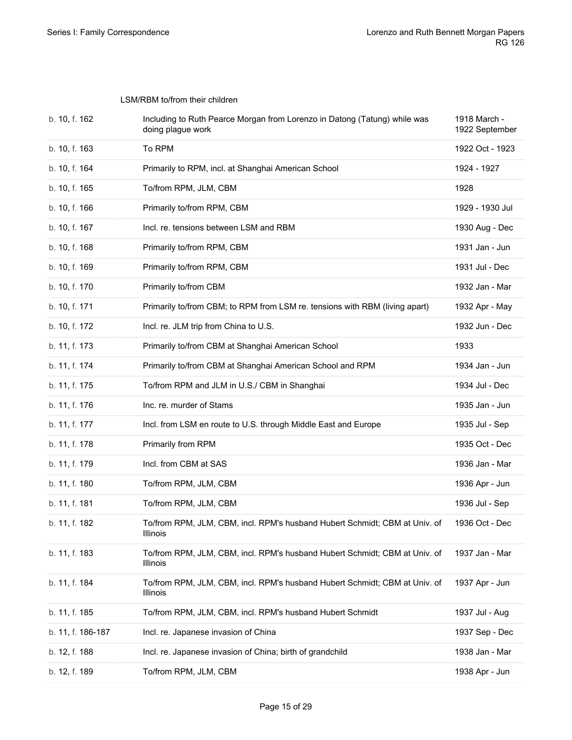<span id="page-14-0"></span>LSM/RBM to/from their children

| b. 10, f. 162     | Including to Ruth Pearce Morgan from Lorenzo in Datong (Tatung) while was<br>doing plague work | 1918 March -<br>1922 September |
|-------------------|------------------------------------------------------------------------------------------------|--------------------------------|
| b. 10, f. 163     | To RPM                                                                                         | 1922 Oct - 1923                |
| b. 10, f. 164     | Primarily to RPM, incl. at Shanghai American School                                            | 1924 - 1927                    |
| b. 10, f. 165     | To/from RPM, JLM, CBM                                                                          | 1928                           |
| b. 10, f. 166     | Primarily to/from RPM, CBM                                                                     | 1929 - 1930 Jul                |
| b. 10, f. 167     | Incl. re. tensions between LSM and RBM                                                         | 1930 Aug - Dec                 |
| b. 10, f. 168     | Primarily to/from RPM, CBM                                                                     | 1931 Jan - Jun                 |
| b. 10, f. 169     | Primarily to/from RPM, CBM                                                                     | 1931 Jul - Dec                 |
| b. 10, f. 170     | Primarily to/from CBM                                                                          | 1932 Jan - Mar                 |
| b. 10, f. 171     | Primarily to/from CBM; to RPM from LSM re. tensions with RBM (living apart)                    | 1932 Apr - May                 |
| b. 10, f. 172     | Incl. re. JLM trip from China to U.S.                                                          | 1932 Jun - Dec                 |
| b. 11, f. 173     | Primarily to/from CBM at Shanghai American School                                              | 1933                           |
| b. 11, f. 174     | Primarily to/from CBM at Shanghai American School and RPM                                      | 1934 Jan - Jun                 |
| b. 11, f. 175     | To/from RPM and JLM in U.S./ CBM in Shanghai                                                   | 1934 Jul - Dec                 |
| b. 11, f. 176     | Inc. re. murder of Stams                                                                       | 1935 Jan - Jun                 |
| b. 11, f. 177     | Incl. from LSM en route to U.S. through Middle East and Europe                                 | 1935 Jul - Sep                 |
| b. 11, f. 178     | Primarily from RPM                                                                             | 1935 Oct - Dec                 |
| b. 11, f. 179     | Incl. from CBM at SAS                                                                          | 1936 Jan - Mar                 |
| b. 11, f. 180     | To/from RPM, JLM, CBM                                                                          | 1936 Apr - Jun                 |
| b. 11, f. 181     | To/from RPM, JLM, CBM                                                                          | 1936 Jul - Sep                 |
| b. 11, f. 182     | To/from RPM, JLM, CBM, incl. RPM's husband Hubert Schmidt; CBM at Univ. of<br>Illinois         | 1936 Oct - Dec                 |
| b. 11, f. 183     | To/from RPM, JLM, CBM, incl. RPM's husband Hubert Schmidt; CBM at Univ. of<br>Illinois         | 1937 Jan - Mar                 |
| b. 11, f. 184     | To/from RPM, JLM, CBM, incl. RPM's husband Hubert Schmidt; CBM at Univ. of<br>Illinois         | 1937 Apr - Jun                 |
| b. 11, f. 185     | To/from RPM, JLM, CBM, incl. RPM's husband Hubert Schmidt                                      | 1937 Jul - Aug                 |
| b. 11, f. 186-187 | Incl. re. Japanese invasion of China                                                           | 1937 Sep - Dec                 |
| b. 12, f. 188     | Incl. re. Japanese invasion of China; birth of grandchild                                      | 1938 Jan - Mar                 |
| b. 12, f. 189     | To/from RPM, JLM, CBM                                                                          | 1938 Apr - Jun                 |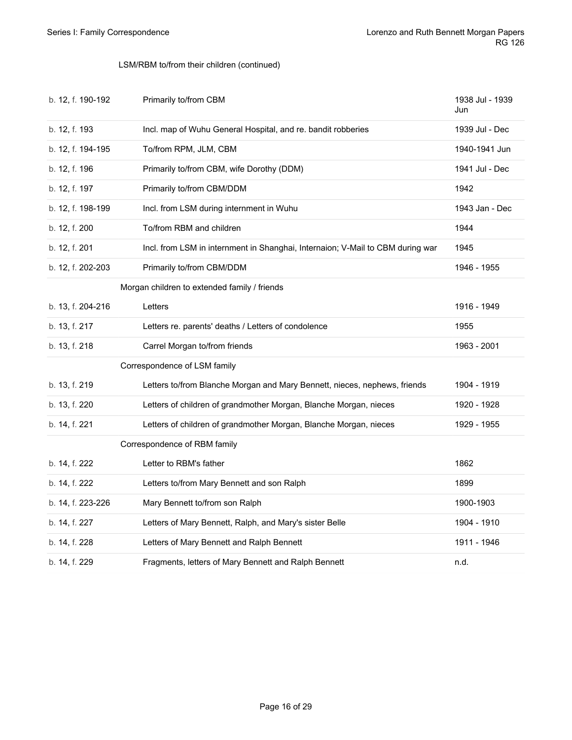#### LSM/RBM to/from their children (continued)

<span id="page-15-2"></span><span id="page-15-1"></span><span id="page-15-0"></span>

| b. 12, f. 190-192 | Primarily to/from CBM                                                          | 1938 Jul - 1939<br>Jun |
|-------------------|--------------------------------------------------------------------------------|------------------------|
| b. 12, f. 193     | Incl. map of Wuhu General Hospital, and re. bandit robberies                   | 1939 Jul - Dec         |
| b. 12, f. 194-195 | To/from RPM, JLM, CBM                                                          | 1940-1941 Jun          |
| b. 12, f. 196     | Primarily to/from CBM, wife Dorothy (DDM)                                      | 1941 Jul - Dec         |
| b. 12, f. 197     | Primarily to/from CBM/DDM                                                      | 1942                   |
| b. 12, f. 198-199 | Incl. from LSM during internment in Wuhu                                       | 1943 Jan - Dec         |
| b. 12, f. 200     | To/from RBM and children                                                       | 1944                   |
| b. 12, f. 201     | Incl. from LSM in internment in Shanghai, Internaion; V-Mail to CBM during war | 1945                   |
| b. 12, f. 202-203 | Primarily to/from CBM/DDM                                                      | 1946 - 1955            |
|                   | Morgan children to extended family / friends                                   |                        |
| b. 13, f. 204-216 | Letters                                                                        | 1916 - 1949            |
| b. 13, f. 217     | Letters re. parents' deaths / Letters of condolence                            | 1955                   |
| b. 13, f. 218     | Carrel Morgan to/from friends                                                  | 1963 - 2001            |
|                   | Correspondence of LSM family                                                   |                        |
| b. 13, f. 219     | Letters to/from Blanche Morgan and Mary Bennett, nieces, nephews, friends      | 1904 - 1919            |
| b. 13, f. 220     | Letters of children of grandmother Morgan, Blanche Morgan, nieces              | 1920 - 1928            |
| b. 14, f. 221     | Letters of children of grandmother Morgan, Blanche Morgan, nieces              | 1929 - 1955            |
|                   | Correspondence of RBM family                                                   |                        |
| b. 14, f. 222     | Letter to RBM's father                                                         | 1862                   |
| b. 14, f. 222     | Letters to/from Mary Bennett and son Ralph                                     | 1899                   |
| b. 14, f. 223-226 | Mary Bennett to/from son Ralph                                                 | 1900-1903              |
| b. 14, f. 227     | Letters of Mary Bennett, Ralph, and Mary's sister Belle                        | 1904 - 1910            |
| b. 14, f. 228     | Letters of Mary Bennett and Ralph Bennett                                      | 1911 - 1946            |
| b. 14, f. 229     | Fragments, letters of Mary Bennett and Ralph Bennett                           | n.d.                   |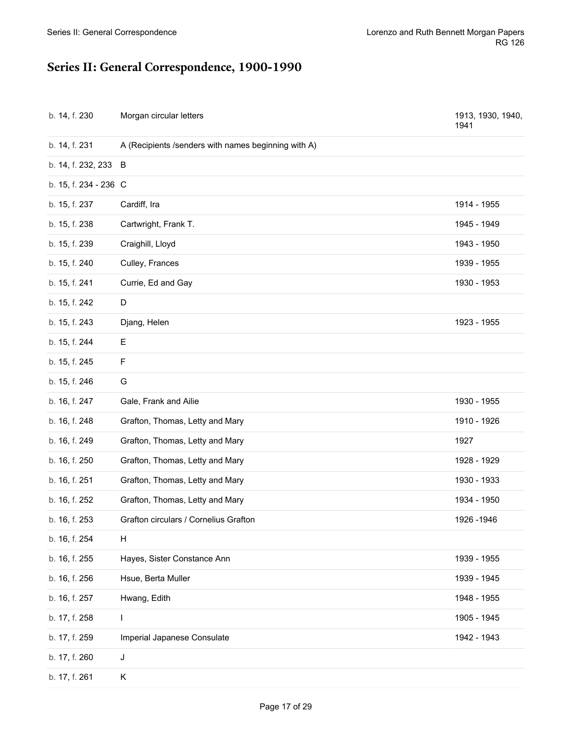# <span id="page-16-0"></span>**Series II: General Correspondence, 1900-1990**

| b. 14, f. 230         | Morgan circular letters                             | 1913, 1930, 1940,<br>1941 |
|-----------------------|-----------------------------------------------------|---------------------------|
| b. 14, f. 231         | A (Recipients /senders with names beginning with A) |                           |
| b. 14, f. 232, 233    | B                                                   |                           |
| b. 15, f. 234 - 236 C |                                                     |                           |
| b. 15, f. 237         | Cardiff, Ira                                        | 1914 - 1955               |
| b. 15, f. 238         | Cartwright, Frank T.                                | 1945 - 1949               |
| b. 15, f. 239         | Craighill, Lloyd                                    | 1943 - 1950               |
| b. 15, f. 240         | Culley, Frances                                     | 1939 - 1955               |
| b. 15, f. 241         | Currie, Ed and Gay                                  | 1930 - 1953               |
| b. 15, f. 242         | D                                                   |                           |
| b. 15, f. 243         | Djang, Helen                                        | 1923 - 1955               |
| b. 15, f. 244         | E.                                                  |                           |
| b. 15, f. 245         | F                                                   |                           |
| b. 15, f. 246         | G                                                   |                           |
| b. 16, f. 247         | Gale, Frank and Ailie                               | 1930 - 1955               |
| b. 16, f. 248         | Grafton, Thomas, Letty and Mary                     | 1910 - 1926               |
| b. 16, f. 249         | Grafton, Thomas, Letty and Mary                     | 1927                      |
| b. 16, f. 250         | Grafton, Thomas, Letty and Mary                     | 1928 - 1929               |
| b. 16, f. 251         | Grafton, Thomas, Letty and Mary                     | 1930 - 1933               |
| b. 16, f. 252         | Grafton, Thomas, Letty and Mary                     | 1934 - 1950               |
| b. 16, f. 253         | Grafton circulars / Cornelius Grafton               | 1926 - 1946               |
| b. 16, f. 254         | Н                                                   |                           |
| b. 16, f. 255         | Hayes, Sister Constance Ann                         | 1939 - 1955               |
| b. 16, f. 256         | Hsue, Berta Muller                                  | 1939 - 1945               |
| b. 16, f. 257         | Hwang, Edith                                        | 1948 - 1955               |
| b. 17, f. 258         | L                                                   | 1905 - 1945               |
| b. 17, f. 259         | Imperial Japanese Consulate                         | 1942 - 1943               |
| b. 17, f. 260         | J                                                   |                           |
| b. 17, f. 261         | Κ                                                   |                           |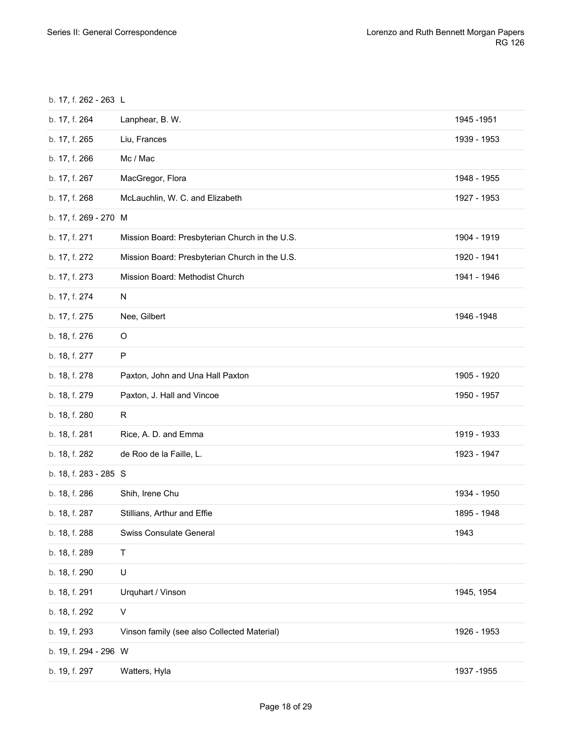b. 17, f. 262 - 263 L

| b. 17, f. 264         | Lanphear, B. W.                                | 1945 - 1951 |
|-----------------------|------------------------------------------------|-------------|
| b. 17, f. 265         | Liu, Frances                                   | 1939 - 1953 |
| b. 17, f. 266         | Mc / Mac                                       |             |
| b. 17, f. 267         | MacGregor, Flora                               | 1948 - 1955 |
| b. 17, f. 268         | McLauchlin, W. C. and Elizabeth                | 1927 - 1953 |
| b. 17, f. 269 - 270 M |                                                |             |
| b. 17, f. 271         | Mission Board: Presbyterian Church in the U.S. | 1904 - 1919 |
| b. 17, f. 272         | Mission Board: Presbyterian Church in the U.S. | 1920 - 1941 |
| b. 17, f. 273         | Mission Board: Methodist Church                | 1941 - 1946 |
| b. 17, f. 274         | N                                              |             |
| b. 17, f. 275         | Nee, Gilbert                                   | 1946 - 1948 |
| b. 18, f. 276         | O                                              |             |
| b. 18, f. 277         | P                                              |             |
| b. 18, f. 278         | Paxton, John and Una Hall Paxton               | 1905 - 1920 |
| b. 18, f. 279         | Paxton, J. Hall and Vincoe                     | 1950 - 1957 |
| b. 18, f. 280         | R                                              |             |
| b. 18, f. 281         | Rice, A. D. and Emma                           | 1919 - 1933 |
| b. 18, f. 282         | de Roo de la Faille, L.                        | 1923 - 1947 |
| b. 18, f. 283 - 285 S |                                                |             |
| b. 18, f. 286         | Shih, Irene Chu                                | 1934 - 1950 |
| b. 18, f. 287         | Stillians, Arthur and Effie                    | 1895 - 1948 |
| b. 18, f. 288         | Swiss Consulate General                        | 1943        |
| b. 18, f. 289         | Τ                                              |             |
| b. 18, f. 290         | U                                              |             |
| b. 18, f. 291         | Urquhart / Vinson                              | 1945, 1954  |
| b. 18, f. 292         | V                                              |             |
| b. 19, f. 293         | Vinson family (see also Collected Material)    | 1926 - 1953 |
| b. 19, f. 294 - 296 W |                                                |             |
| b. 19, f. 297         | Watters, Hyla                                  | 1937 - 1955 |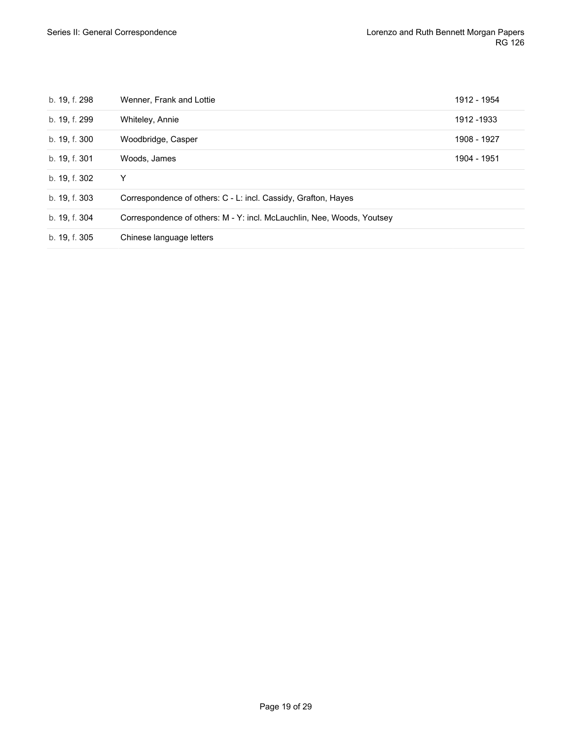| b. 19, f. 298 | Wenner, Frank and Lottie                                               | 1912 - 1954 |
|---------------|------------------------------------------------------------------------|-------------|
| b. 19, f. 299 | Whiteley, Annie                                                        | 1912 - 1933 |
| b. 19, f. 300 | Woodbridge, Casper                                                     | 1908 - 1927 |
| b. 19, f. 301 | Woods, James                                                           | 1904 - 1951 |
| b. 19, f. 302 | Y                                                                      |             |
| b. 19, f. 303 | Correspondence of others: C - L: incl. Cassidy, Grafton, Hayes         |             |
| b. 19, f. 304 | Correspondence of others: M - Y: incl. McLauchlin, Nee, Woods, Youtsey |             |
| b. 19, f. 305 | Chinese language letters                                               |             |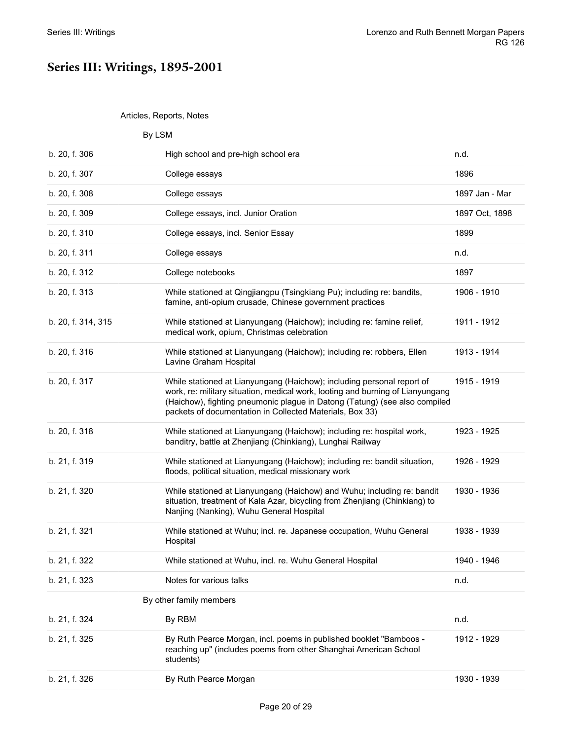### <span id="page-19-0"></span>**Series III: Writings, 1895-2001**

#### <span id="page-19-2"></span><span id="page-19-1"></span>Articles, Reports, Notes

<span id="page-19-3"></span>

|                    | By LSM                                                                                                                                                                                                                                                                                             |                |
|--------------------|----------------------------------------------------------------------------------------------------------------------------------------------------------------------------------------------------------------------------------------------------------------------------------------------------|----------------|
| b. 20, f. 306      | High school and pre-high school era                                                                                                                                                                                                                                                                | n.d.           |
| b. 20, f. 307      | College essays                                                                                                                                                                                                                                                                                     | 1896           |
| b. 20, f. 308      | College essays                                                                                                                                                                                                                                                                                     | 1897 Jan - Mar |
| b. 20, f. 309      | College essays, incl. Junior Oration                                                                                                                                                                                                                                                               | 1897 Oct, 1898 |
| b. 20, f. 310      | College essays, incl. Senior Essay                                                                                                                                                                                                                                                                 | 1899           |
| b. 20, f. 311      | College essays                                                                                                                                                                                                                                                                                     | n.d.           |
| b. 20, f. 312      | College notebooks                                                                                                                                                                                                                                                                                  | 1897           |
| b. 20, f. 313      | While stationed at Qingjiangpu (Tsingkiang Pu); including re: bandits,<br>famine, anti-opium crusade, Chinese government practices                                                                                                                                                                 | 1906 - 1910    |
| b. 20, f. 314, 315 | While stationed at Lianyungang (Haichow); including re: famine relief,<br>medical work, opium, Christmas celebration                                                                                                                                                                               | 1911 - 1912    |
| b. 20, f. 316      | While stationed at Lianyungang (Haichow); including re: robbers, Ellen<br>Lavine Graham Hospital                                                                                                                                                                                                   | 1913 - 1914    |
| b. 20, f. 317      | While stationed at Lianyungang (Haichow); including personal report of<br>work, re: military situation, medical work, looting and burning of Lianyungang<br>(Haichow), fighting pneumonic plague in Datong (Tatung) (see also compiled<br>packets of documentation in Collected Materials, Box 33) | 1915 - 1919    |
| b. 20, f. 318      | While stationed at Lianyungang (Haichow); including re: hospital work,<br>banditry, battle at Zhenjiang (Chinkiang), Lunghai Railway                                                                                                                                                               | 1923 - 1925    |
| b. 21, f. 319      | While stationed at Lianyungang (Haichow); including re: bandit situation,<br>floods, political situation, medical missionary work                                                                                                                                                                  | 1926 - 1929    |
| b. 21, f. 320      | While stationed at Lianyungang (Haichow) and Wuhu; including re: bandit<br>situation, treatment of Kala Azar, bicycling from Zhenjiang (Chinkiang) to<br>Nanjing (Nanking), Wuhu General Hospital                                                                                                  | 1930 - 1936    |
| b. 21, f. 321      | While stationed at Wuhu; incl. re. Japanese occupation, Wuhu General<br>Hospital                                                                                                                                                                                                                   | 1938 - 1939    |
| b. 21, f. 322      | While stationed at Wuhu, incl. re. Wuhu General Hospital                                                                                                                                                                                                                                           | 1940 - 1946    |
| b. 21, f. 323      | Notes for various talks                                                                                                                                                                                                                                                                            | n.d.           |
|                    | By other family members                                                                                                                                                                                                                                                                            |                |
| b. 21, f. 324      | By RBM                                                                                                                                                                                                                                                                                             | n.d.           |
| b. 21, f. 325      | By Ruth Pearce Morgan, incl. poems in published booklet "Bamboos -<br>reaching up" (includes poems from other Shanghai American School<br>students)                                                                                                                                                | 1912 - 1929    |
| b. 21, f. 326      | By Ruth Pearce Morgan                                                                                                                                                                                                                                                                              | 1930 - 1939    |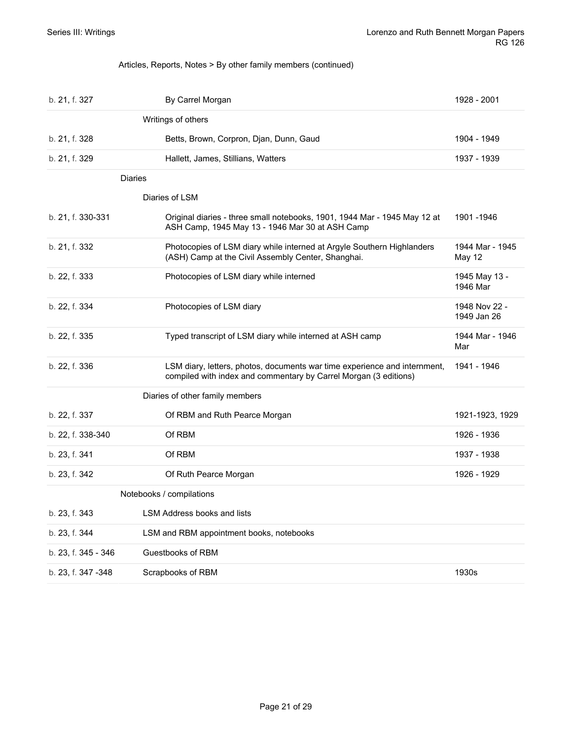#### <span id="page-20-0"></span>Articles, Reports, Notes > By other family members (continued)

<span id="page-20-4"></span><span id="page-20-3"></span><span id="page-20-2"></span><span id="page-20-1"></span>

| b. 21, f. 327       | By Carrel Morgan                                                                                                                              | 1928 - 2001                  |
|---------------------|-----------------------------------------------------------------------------------------------------------------------------------------------|------------------------------|
|                     | Writings of others                                                                                                                            |                              |
| b. 21, f. 328       | Betts, Brown, Corpron, Djan, Dunn, Gaud                                                                                                       | 1904 - 1949                  |
| b. 21, f. 329       | Hallett, James, Stillians, Watters                                                                                                            | 1937 - 1939                  |
|                     | <b>Diaries</b>                                                                                                                                |                              |
|                     | Diaries of LSM                                                                                                                                |                              |
| b. 21, f. 330-331   | Original diaries - three small notebooks, 1901, 1944 Mar - 1945 May 12 at<br>ASH Camp, 1945 May 13 - 1946 Mar 30 at ASH Camp                  | 1901 - 1946                  |
| b. 21, f. 332       | Photocopies of LSM diary while interned at Argyle Southern Highlanders<br>(ASH) Camp at the Civil Assembly Center, Shanghai.                  | 1944 Mar - 1945<br>May 12    |
| b. 22, f. 333       | Photocopies of LSM diary while interned                                                                                                       | 1945 May 13 -<br>1946 Mar    |
| b. 22, f. 334       | Photocopies of LSM diary                                                                                                                      | 1948 Nov 22 -<br>1949 Jan 26 |
| b. 22, f. 335       | Typed transcript of LSM diary while interned at ASH camp                                                                                      | 1944 Mar - 1946<br>Mar       |
| b. 22, f. 336       | LSM diary, letters, photos, documents war time experience and internment,<br>compiled with index and commentary by Carrel Morgan (3 editions) | 1941 - 1946                  |
|                     | Diaries of other family members                                                                                                               |                              |
| b. 22, f. 337       | Of RBM and Ruth Pearce Morgan                                                                                                                 | 1921-1923, 1929              |
| b. 22, f. 338-340   | Of RBM                                                                                                                                        | 1926 - 1936                  |
| b. 23, f. 341       | Of RBM                                                                                                                                        | 1937 - 1938                  |
| b. 23, f. 342       | Of Ruth Pearce Morgan                                                                                                                         | 1926 - 1929                  |
|                     | Notebooks / compilations                                                                                                                      |                              |
| b. 23, f. 343       | LSM Address books and lists                                                                                                                   |                              |
| b. 23, f. 344       | LSM and RBM appointment books, notebooks                                                                                                      |                              |
| b. 23, f. 345 - 346 | Guestbooks of RBM                                                                                                                             |                              |
| b. 23, f. 347 -348  | Scrapbooks of RBM                                                                                                                             | 1930s                        |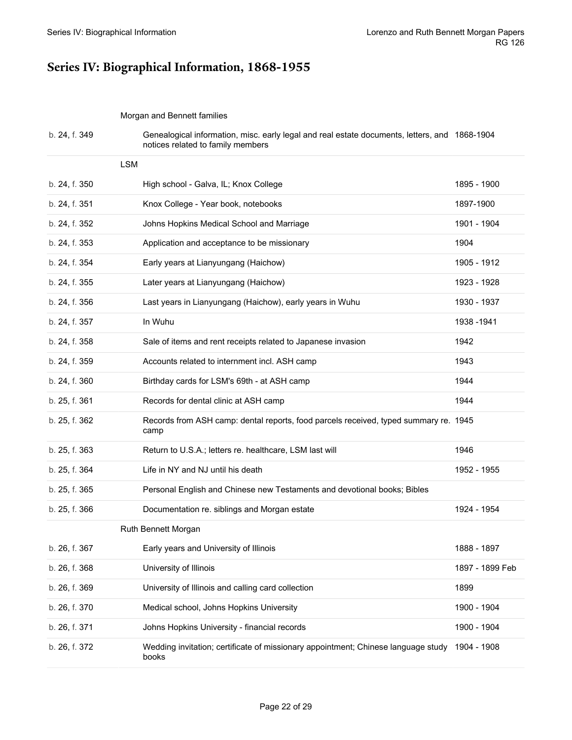# <span id="page-21-0"></span>**Series IV: Biographical Information, 1868-1955**

<span id="page-21-2"></span><span id="page-21-1"></span>Morgan and Bennett families

<span id="page-21-3"></span>

| b. 24, f. 349 | Genealogical information, misc. early legal and real estate documents, letters, and 1868-1904<br>notices related to family members |                 |
|---------------|------------------------------------------------------------------------------------------------------------------------------------|-----------------|
| <b>LSM</b>    |                                                                                                                                    |                 |
| b. 24, f. 350 | High school - Galva, IL; Knox College                                                                                              | 1895 - 1900     |
| b. 24, f. 351 | Knox College - Year book, notebooks                                                                                                | 1897-1900       |
| b. 24, f. 352 | Johns Hopkins Medical School and Marriage                                                                                          | 1901 - 1904     |
| b. 24, f. 353 | Application and acceptance to be missionary                                                                                        | 1904            |
| b. 24, f. 354 | Early years at Lianyungang (Haichow)                                                                                               | 1905 - 1912     |
| b. 24, f. 355 | Later years at Lianyungang (Haichow)                                                                                               | 1923 - 1928     |
| b. 24, f. 356 | Last years in Lianyungang (Haichow), early years in Wuhu                                                                           | 1930 - 1937     |
| b. 24, f. 357 | In Wuhu                                                                                                                            | 1938 - 1941     |
| b. 24, f. 358 | Sale of items and rent receipts related to Japanese invasion                                                                       | 1942            |
| b. 24, f. 359 | Accounts related to internment incl. ASH camp                                                                                      | 1943            |
| b. 24, f. 360 | Birthday cards for LSM's 69th - at ASH camp                                                                                        | 1944            |
| b. 25, f. 361 | Records for dental clinic at ASH camp                                                                                              | 1944            |
| b. 25, f. 362 | Records from ASH camp: dental reports, food parcels received, typed summary re. 1945<br>camp                                       |                 |
| b. 25, f. 363 | Return to U.S.A.; letters re. healthcare, LSM last will                                                                            | 1946            |
| b. 25, f. 364 | Life in NY and NJ until his death                                                                                                  | 1952 - 1955     |
| b. 25, f. 365 | Personal English and Chinese new Testaments and devotional books; Bibles                                                           |                 |
| b. 25, f. 366 | Documentation re. siblings and Morgan estate                                                                                       | 1924 - 1954     |
|               | Ruth Bennett Morgan                                                                                                                |                 |
| b. 26, f. 367 | Early years and University of Illinois                                                                                             | 1888 - 1897     |
| b. 26, f. 368 | University of Illinois                                                                                                             | 1897 - 1899 Feb |
| b. 26, f. 369 | University of Illinois and calling card collection                                                                                 | 1899            |
| b. 26, f. 370 | Medical school, Johns Hopkins University                                                                                           | 1900 - 1904     |
| b. 26, f. 371 | Johns Hopkins University - financial records                                                                                       | 1900 - 1904     |
| b. 26, f. 372 | Wedding invitation; certificate of missionary appointment; Chinese language study<br>books                                         | 1904 - 1908     |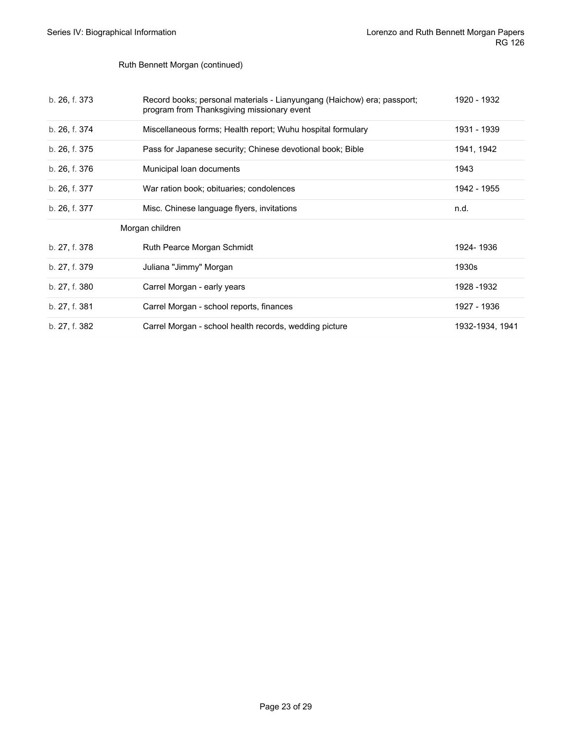#### Ruth Bennett Morgan (continued)

<span id="page-22-0"></span>

| b. 26, f. 373 | Record books; personal materials - Lianyungang (Haichow) era; passport;<br>program from Thanksgiving missionary event | 1920 - 1932     |
|---------------|-----------------------------------------------------------------------------------------------------------------------|-----------------|
| b. 26, f. 374 | Miscellaneous forms; Health report; Wuhu hospital formulary                                                           | 1931 - 1939     |
| b. 26, f. 375 | Pass for Japanese security; Chinese devotional book; Bible                                                            | 1941, 1942      |
| b. 26, f. 376 | Municipal loan documents                                                                                              | 1943            |
| b. 26, f. 377 | War ration book; obituaries; condolences                                                                              | 1942 - 1955     |
| b. 26, f. 377 | Misc. Chinese language flyers, invitations                                                                            | n.d.            |
|               | Morgan children                                                                                                       |                 |
| b. 27, f. 378 | Ruth Pearce Morgan Schmidt                                                                                            | 1924-1936       |
| b. 27, f. 379 | Juliana "Jimmy" Morgan                                                                                                | 1930s           |
| b. 27, f. 380 | Carrel Morgan - early years                                                                                           | 1928 - 1932     |
| b. 27, f. 381 | Carrel Morgan - school reports, finances                                                                              | 1927 - 1936     |
| b. 27, f. 382 | Carrel Morgan - school health records, wedding picture                                                                | 1932-1934, 1941 |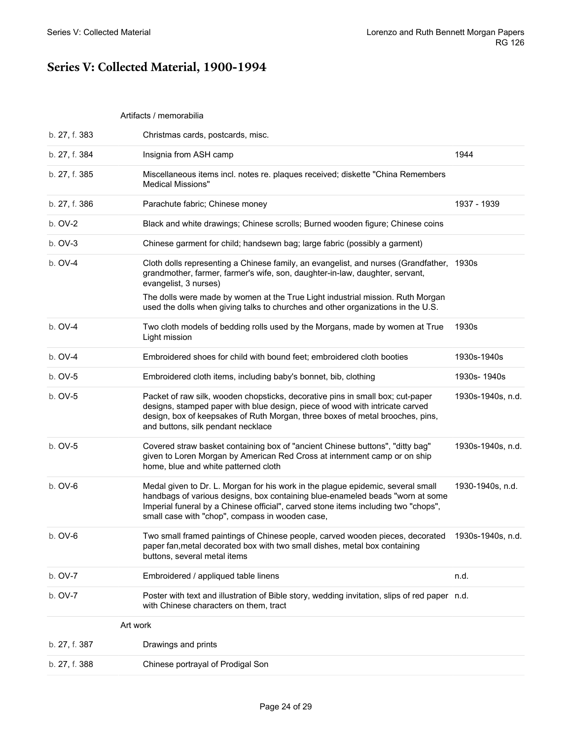### <span id="page-23-0"></span>**Series V: Collected Material, 1900-1994**

#### <span id="page-23-1"></span>Artifacts / memorabilia

<span id="page-23-2"></span>

| b. 27, f. 388 | Chinese portrayal of Prodigal Son                                                                                                                                                                                                                                                                                                                                       |                   |
|---------------|-------------------------------------------------------------------------------------------------------------------------------------------------------------------------------------------------------------------------------------------------------------------------------------------------------------------------------------------------------------------------|-------------------|
| b. 27, f. 387 | Art work<br>Drawings and prints                                                                                                                                                                                                                                                                                                                                         |                   |
| b. OV-7       | Poster with text and illustration of Bible story, wedding invitation, slips of red paper n.d.<br>with Chinese characters on them, tract                                                                                                                                                                                                                                 |                   |
| b. OV-7       | Embroidered / appliqued table linens                                                                                                                                                                                                                                                                                                                                    | n.d.              |
| $b. OV-6$     | Two small framed paintings of Chinese people, carved wooden pieces, decorated<br>paper fan, metal decorated box with two small dishes, metal box containing<br>buttons, several metal items                                                                                                                                                                             | 1930s-1940s, n.d. |
| $b.$ OV-6     | Medal given to Dr. L. Morgan for his work in the plague epidemic, several small<br>handbags of various designs, box containing blue-enameled beads "worn at some<br>Imperial funeral by a Chinese official", carved stone items including two "chops",<br>small case with "chop", compass in wooden case,                                                               | 1930-1940s, n.d.  |
| b. OV-5       | Covered straw basket containing box of "ancient Chinese buttons", "ditty bag"<br>given to Loren Morgan by American Red Cross at internment camp or on ship<br>home, blue and white patterned cloth                                                                                                                                                                      | 1930s-1940s, n.d. |
| b. OV-5       | Packet of raw silk, wooden chopsticks, decorative pins in small box; cut-paper<br>designs, stamped paper with blue design, piece of wood with intricate carved<br>design, box of keepsakes of Ruth Morgan, three boxes of metal brooches, pins,<br>and buttons, silk pendant necklace                                                                                   | 1930s-1940s, n.d. |
| b. OV-5       | Embroidered cloth items, including baby's bonnet, bib, clothing                                                                                                                                                                                                                                                                                                         | 1930s-1940s       |
| b. OV-4       | Embroidered shoes for child with bound feet; embroidered cloth booties                                                                                                                                                                                                                                                                                                  | 1930s-1940s       |
| b. OV-4       | Two cloth models of bedding rolls used by the Morgans, made by women at True<br>Light mission                                                                                                                                                                                                                                                                           | 1930s             |
| b. OV-4       | Cloth dolls representing a Chinese family, an evangelist, and nurses (Grandfather, 1930s<br>grandmother, farmer, farmer's wife, son, daughter-in-law, daughter, servant,<br>evangelist, 3 nurses)<br>The dolls were made by women at the True Light industrial mission. Ruth Morgan<br>used the dolls when giving talks to churches and other organizations in the U.S. |                   |
| b. OV-3       | Chinese garment for child; handsewn bag; large fabric (possibly a garment)                                                                                                                                                                                                                                                                                              |                   |
| b. OV-2       | Black and white drawings; Chinese scrolls; Burned wooden figure; Chinese coins                                                                                                                                                                                                                                                                                          |                   |
| b. 27, f. 386 | Parachute fabric; Chinese money                                                                                                                                                                                                                                                                                                                                         | 1937 - 1939       |
| b. 27, f. 385 | Miscellaneous items incl. notes re. plaques received; diskette "China Remembers"<br><b>Medical Missions"</b>                                                                                                                                                                                                                                                            |                   |
| b. 27, f. 384 | Insignia from ASH camp                                                                                                                                                                                                                                                                                                                                                  | 1944              |
| b. 27, f. 383 | Christmas cards, postcards, misc.                                                                                                                                                                                                                                                                                                                                       |                   |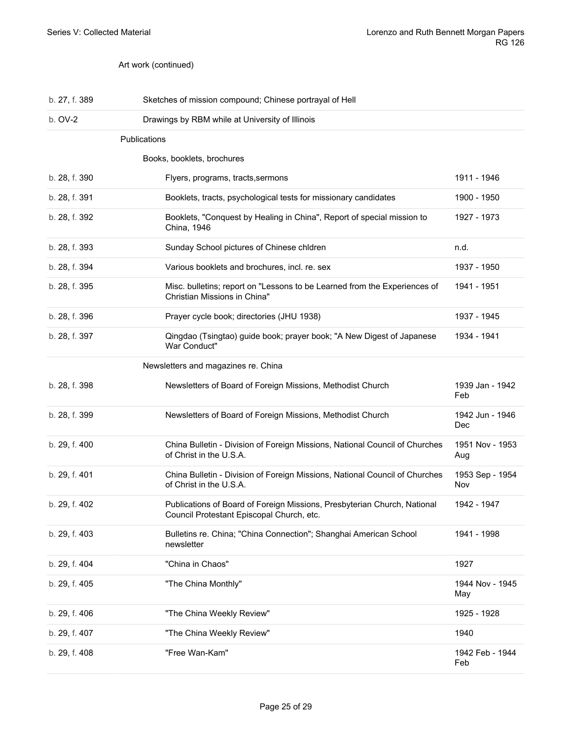<span id="page-24-1"></span><span id="page-24-0"></span>Art work (continued)

<span id="page-24-2"></span>

| b. 27, f. 389 | Sketches of mission compound; Chinese portrayal of Hell                                                               |                        |
|---------------|-----------------------------------------------------------------------------------------------------------------------|------------------------|
| b. OV-2       | Drawings by RBM while at University of Illinois                                                                       |                        |
|               | Publications                                                                                                          |                        |
|               | Books, booklets, brochures                                                                                            |                        |
| b. 28, f. 390 | Flyers, programs, tracts, sermons                                                                                     | 1911 - 1946            |
| b. 28, f. 391 | Booklets, tracts, psychological tests for missionary candidates                                                       | 1900 - 1950            |
| b. 28, f. 392 | Booklets, "Conquest by Healing in China", Report of special mission to<br>China, 1946                                 | 1927 - 1973            |
| b. 28, f. 393 | Sunday School pictures of Chinese chldren                                                                             | n.d.                   |
| b. 28, f. 394 | Various booklets and brochures, incl. re. sex                                                                         | 1937 - 1950            |
| b. 28, f. 395 | Misc. bulletins; report on "Lessons to be Learned from the Experiences of<br>Christian Missions in China"             | 1941 - 1951            |
| b. 28, f. 396 | Prayer cycle book; directories (JHU 1938)                                                                             | 1937 - 1945            |
| b. 28, f. 397 | Qingdao (Tsingtao) guide book; prayer book; "A New Digest of Japanese<br>War Conduct"                                 | 1934 - 1941            |
|               | Newsletters and magazines re. China                                                                                   |                        |
| b. 28, f. 398 | Newsletters of Board of Foreign Missions, Methodist Church                                                            | 1939 Jan - 1942<br>Feb |
| b. 28, f. 399 | Newsletters of Board of Foreign Missions, Methodist Church                                                            | 1942 Jun - 1946<br>Dec |
| b. 29, f. 400 | China Bulletin - Division of Foreign Missions, National Council of Churches<br>of Christ in the U.S.A.                | 1951 Nov - 1953<br>Aug |
| b. 29, f. 401 | China Bulletin - Division of Foreign Missions, National Council of Churches<br>of Christ in the U.S.A.                | 1953 Sep - 1954<br>Nov |
| b. 29, f. 402 | Publications of Board of Foreign Missions, Presbyterian Church, National<br>Council Protestant Episcopal Church, etc. | 1942 - 1947            |
| b. 29, f. 403 | Bulletins re. China; "China Connection"; Shanghai American School<br>newsletter                                       | 1941 - 1998            |
| b. 29, f. 404 | "China in Chaos"                                                                                                      | 1927                   |
| b. 29, f. 405 | "The China Monthly"                                                                                                   | 1944 Nov - 1945<br>May |
| b. 29, f. 406 | "The China Weekly Review"                                                                                             | 1925 - 1928            |
| b. 29, f. 407 | "The China Weekly Review"                                                                                             | 1940                   |
| b. 29, f. 408 | "Free Wan-Kam"                                                                                                        | 1942 Feb - 1944<br>Feb |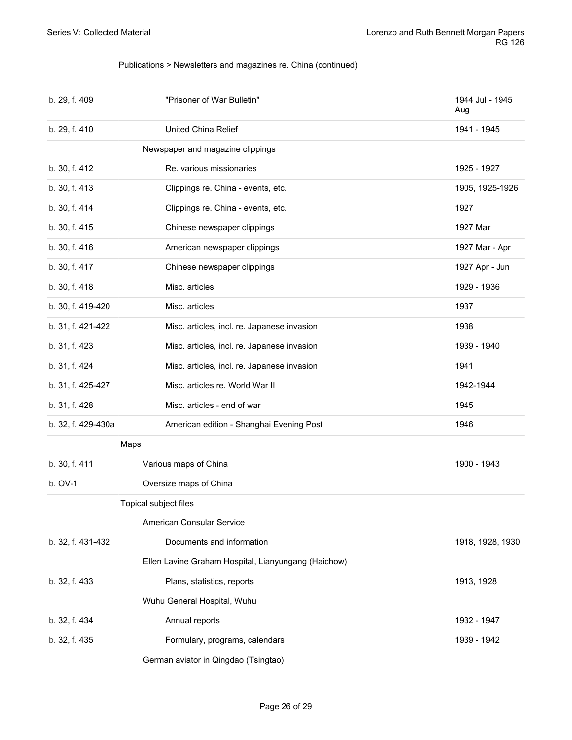#### <span id="page-25-0"></span>Publications > Newsletters and magazines re. China (continued)

<span id="page-25-6"></span><span id="page-25-5"></span><span id="page-25-4"></span><span id="page-25-3"></span><span id="page-25-2"></span><span id="page-25-1"></span>

| b. 29, f. 409      | "Prisoner of War Bulletin"                          | 1944 Jul - 1945<br>Aug |
|--------------------|-----------------------------------------------------|------------------------|
| b. 29, f. 410      | United China Relief                                 | 1941 - 1945            |
|                    | Newspaper and magazine clippings                    |                        |
| b. 30, f. 412      | Re. various missionaries                            | 1925 - 1927            |
| b. 30, f. 413      | Clippings re. China - events, etc.                  | 1905, 1925-1926        |
| b. 30, f. 414      | Clippings re. China - events, etc.                  | 1927                   |
| b. 30, f. 415      | Chinese newspaper clippings                         | 1927 Mar               |
| b. 30, f. 416      | American newspaper clippings                        | 1927 Mar - Apr         |
| b. 30, f. 417      | Chinese newspaper clippings                         | 1927 Apr - Jun         |
| b. 30, f. 418      | Misc. articles                                      | 1929 - 1936            |
| b. 30, f. 419-420  | Misc. articles                                      | 1937                   |
| b. 31, f. 421-422  | Misc. articles, incl. re. Japanese invasion         | 1938                   |
| b. 31, f. 423      | Misc. articles, incl. re. Japanese invasion         | 1939 - 1940            |
| b. 31, f. 424      | Misc. articles, incl. re. Japanese invasion         | 1941                   |
| b. 31, f. 425-427  | Misc. articles re. World War II                     | 1942-1944              |
| b. 31, f. 428      | Misc. articles - end of war                         | 1945                   |
| b. 32, f. 429-430a | American edition - Shanghai Evening Post            | 1946                   |
| Maps               |                                                     |                        |
| b. 30, f. 411      | Various maps of China                               | 1900 - 1943            |
| b. OV-1            | Oversize maps of China                              |                        |
|                    | Topical subject files                               |                        |
|                    | American Consular Service                           |                        |
| b. 32, f. 431-432  | Documents and information                           | 1918, 1928, 1930       |
|                    | Ellen Lavine Graham Hospital, Lianyungang (Haichow) |                        |
| b. 32, f. 433      | Plans, statistics, reports                          | 1913, 1928             |
|                    |                                                     |                        |
|                    | Wuhu General Hospital, Wuhu                         |                        |
| b. 32, f. 434      | Annual reports                                      | 1932 - 1947            |
| b. 32, f. 435      | Formulary, programs, calendars                      | 1939 - 1942            |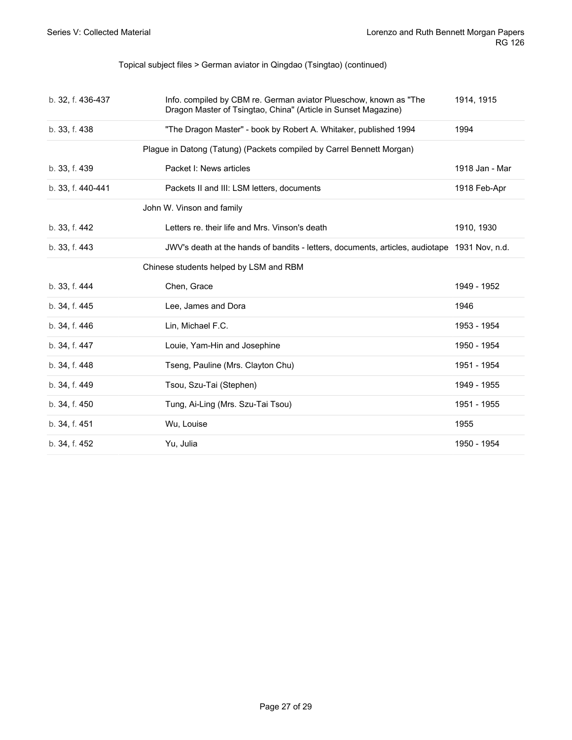#### <span id="page-26-0"></span>Topical subject files > German aviator in Qingdao (Tsingtao) (continued)

<span id="page-26-2"></span><span id="page-26-1"></span>

| b. 32, f. 436-437 | Info. compiled by CBM re. German aviator Plueschow, known as "The<br>Dragon Master of Tsingtao, China" (Article in Sunset Magazine) | 1914, 1915     |
|-------------------|-------------------------------------------------------------------------------------------------------------------------------------|----------------|
| b. 33, f. 438     | "The Dragon Master" - book by Robert A. Whitaker, published 1994                                                                    | 1994           |
|                   | Plague in Datong (Tatung) (Packets compiled by Carrel Bennett Morgan)                                                               |                |
| b. 33, f. 439     | Packet I: News articles                                                                                                             | 1918 Jan - Mar |
| b. 33, f. 440-441 | Packets II and III: LSM letters, documents                                                                                          | 1918 Feb-Apr   |
|                   | John W. Vinson and family                                                                                                           |                |
| b. 33, f. 442     | Letters re, their life and Mrs. Vinson's death                                                                                      | 1910, 1930     |
| b. 33, f. 443     | JWV's death at the hands of bandits - letters, documents, articles, audiotape 1931 Nov, n.d.                                        |                |
|                   | Chinese students helped by LSM and RBM                                                                                              |                |
| b. 33, f. 444     | Chen, Grace                                                                                                                         | 1949 - 1952    |
| b. 34, f. 445     | Lee, James and Dora                                                                                                                 | 1946           |
| b. 34, f. 446     | Lin, Michael F.C.                                                                                                                   | 1953 - 1954    |
| b. 34, f. 447     | Louie, Yam-Hin and Josephine                                                                                                        | 1950 - 1954    |
| b. 34, f. 448     | Tseng, Pauline (Mrs. Clayton Chu)                                                                                                   | 1951 - 1954    |
| b. 34, f. 449     | Tsou, Szu-Tai (Stephen)                                                                                                             | 1949 - 1955    |
| b. 34, f. 450     | Tung, Ai-Ling (Mrs. Szu-Tai Tsou)                                                                                                   | 1951 - 1955    |
| b. 34, f. 451     | Wu, Louise                                                                                                                          | 1955           |
| b. 34, f. 452     | Yu, Julia                                                                                                                           | 1950 - 1954    |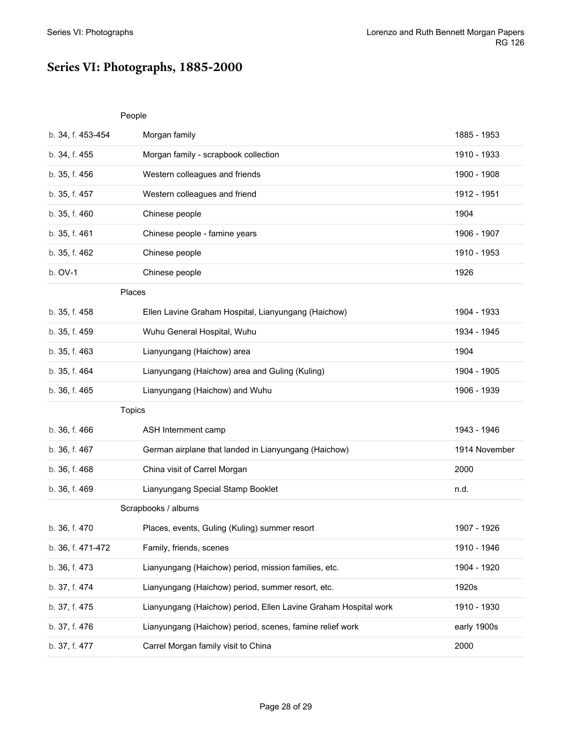### <span id="page-27-0"></span>**Series VI: Photographs, 1885-2000**

#### <span id="page-27-1"></span>People

<span id="page-27-4"></span><span id="page-27-3"></span><span id="page-27-2"></span>

| b. 34, f. 453-454 | Morgan family                                                   | 1885 - 1953   |
|-------------------|-----------------------------------------------------------------|---------------|
| b. 34, f. 455     | Morgan family - scrapbook collection                            | 1910 - 1933   |
| b. 35, f. 456     | Western colleagues and friends                                  | 1900 - 1908   |
| b. 35, f. 457     | Western colleagues and friend                                   | 1912 - 1951   |
| b. 35, f. 460     | Chinese people                                                  | 1904          |
| b. 35, f. 461     | Chinese people - famine years                                   | 1906 - 1907   |
| b. 35, f. 462     | Chinese people                                                  | 1910 - 1953   |
| b. OV-1           | Chinese people                                                  | 1926          |
| Places            |                                                                 |               |
| b. 35, f. 458     | Ellen Lavine Graham Hospital, Lianyungang (Haichow)             | 1904 - 1933   |
| b. 35, f. 459     | Wuhu General Hospital, Wuhu                                     | 1934 - 1945   |
| b. 35, f. 463     | Lianyungang (Haichow) area                                      | 1904          |
| b. 35, f. 464     | Lianyungang (Haichow) area and Guling (Kuling)                  | 1904 - 1905   |
| b. 36, f. 465     | Lianyungang (Haichow) and Wuhu                                  | 1906 - 1939   |
| Topics            |                                                                 |               |
| b. 36, f. 466     | ASH Internment camp                                             | 1943 - 1946   |
| b. 36, f. 467     | German airplane that landed in Lianyungang (Haichow)            | 1914 November |
| b. 36, f. 468     | China visit of Carrel Morgan                                    | 2000          |
|                   |                                                                 |               |
| b. 36, f. 469     | Lianyungang Special Stamp Booklet                               | n.d.          |
|                   | Scrapbooks / albums                                             |               |
| b. 36, f. 470     | Places, events, Guling (Kuling) summer resort                   | 1907 - 1926   |
| b. 36, f. 471-472 | Family, friends, scenes                                         | 1910 - 1946   |
| b. 36, f. 473     | Lianyungang (Haichow) period, mission families, etc.            | 1904 - 1920   |
| b. 37, f. 474     | Lianyungang (Haichow) period, summer resort, etc.               | 1920s         |
| b. 37, f. 475     | Lianyungang (Haichow) period, Ellen Lavine Graham Hospital work | 1910 - 1930   |
| b. 37, f. 476     | Lianyungang (Haichow) period, scenes, famine relief work        | early 1900s   |